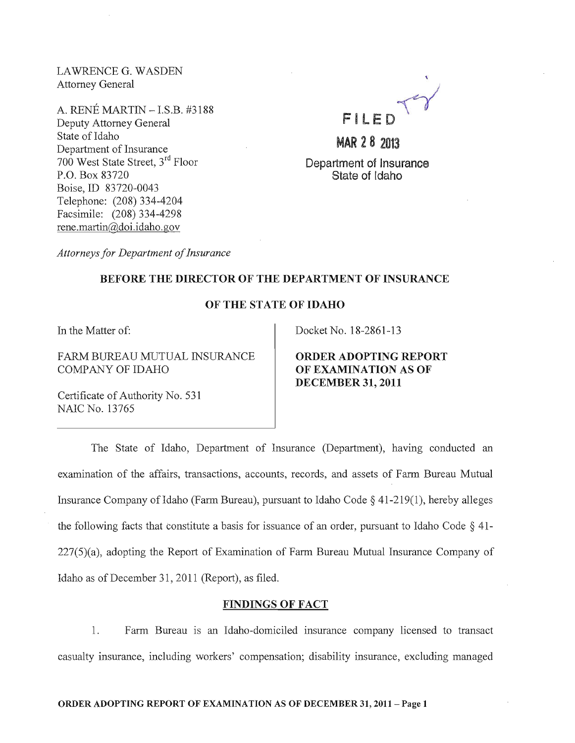LA WRENCE G. WASDEN Attorney General

A. RENE MARTIN - LS.B. #3188 Deputy Attorney General State of Idaho Department of Insurance 700 West State Street, 3rd Floor P.O. Box 83720 Boise,ID 83720-0043 Telephone: (208) 334-4204 Facsimile: (208) 334-4298 rene.martin@doi.idaho.gov

FILED TY

MAR 2 B 2013 Department of Insurance State of Idaho

*Attorneys for Department of Insurance* 

#### BEFORE THE DIRECTOR OF THE DEPARTMENT OF INSURANCE

#### OF THE STATE OF IDAHO

In the Matter of:

FARM BUREAU MUTUAL INSURANCE COMPANY OF IDAHO

Docket No. 18-2861-13

ORDER ADOPTING REPORT OF EXAMINATION AS OF DECEMBER 31,2011

Certificate of Authority No. 531 NAIC No. 13765

The State of Idaho, Department of Insurance (Department), having conducted an examination of the affairs, transactions, accounts, records, and assets of Farm Bureau Mutual Insurance Company of Idaho (Farm Bureau), pursuant to Idaho Code  $\S$  41-219(1), hereby alleges the following facts that constitute a basis for issuance of an order, pursuant to Idaho Code  $\S$  41-227(5)(a), adopting the Report of Examination of Farm Bureau Mutual Insurance Company of Idaho as of December 31, 2011 (Report), as filed.

## FINDINGS OF FACT

1. Farm Bureau is an Idaho-domiciled insurance company licensed to transact casualty insurance, including workers' compensation; disability insurance, excluding managed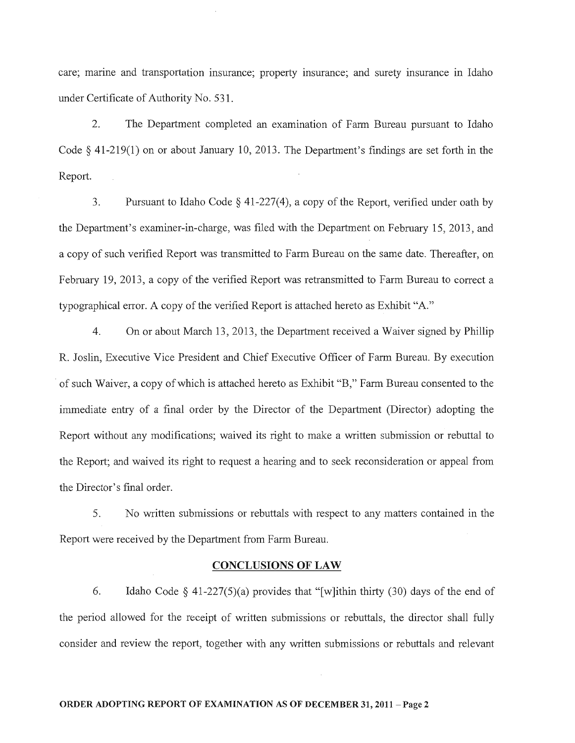care; marine and transportation insurance; property insurance; and surety insurance in Idaho under Certificate of Authority No. 531.

2. The Department completed an examination of Farm Bureau pursuant to Idaho Code  $\S$  41-219(1) on or about January 10, 2013. The Department's findings are set forth in the Report.

3. Pursuant to Idaho Code  $\S$  41-227(4), a copy of the Report, verified under oath by the Department's examiner-in-charge, was filed with the Department on February 15,2013, and a copy of such verified Report was transmitted to Farm Bureau on the same date. Thereafter, on February 19,2013, a copy of the verified Report was retransmitted to Farm Bureau to correct a typographical error. A copy of the verified Report is attached hereto as Exhibit "A."

4. On or about March 13,2013, the Department received a Waiver signed by Phillip R. Joslin, Executive Vice President and Chief Executive Officer of Farm Bureau. By execution . of such Waiver, a copy of which is attached hereto as Exhibit "B," Farm Bureau consented to the immediate entry of a final order by the Director of the Department (Director) adopting the Report without any modifications; waived its right to make a written submission or rebuttal to the Report; and waived its right to request a hearing and to seek reconsideration or appeal from the Director's final order.

5. No written submissions or rebuttals with respect to any matters contained in the Report were received by the Department from Farm Bureau.

## **CONCLUSIONS OF LAW**

6. Idaho Code  $\delta$  41-227(5)(a) provides that "[w]ithin thirty (30) days of the end of the period allowed for the receipt of written submissions or rebuttals, the director shall fully consider and review the report, together with any written submissions or rebuttals and relevant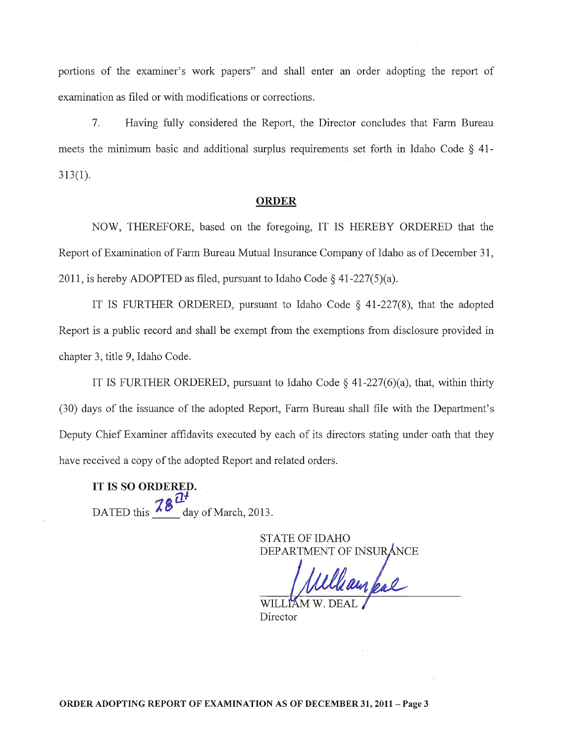portions of the examiner's work papers" and shall enter an order adopting the report of examination as filed or with modifications or corrections.

7. Having fully considered the Report, the Director concludes that Farm Bureau meets the minimum basic and additional surplus requirements set forth in Idaho Code § 41- 313(1).

#### ORDER

NOW, THEREFORE, based on the foregoing, IT IS HEREBY ORDERED that the Report of Examination of Farm Bureau Mutual Insurance Company of Idaho as of December 31, 2011, is hereby ADOPTED as filed, pursuant to Idaho Code  $\S$  41-227(5)(a).

IT IS FURTHER ORDERED, pursuant to Idaho Code  $\S$  41-227(8), that the adopted Report is a public record and shall be exempt from the exemptions from disclosure provided in chapter 3, title 9, Idaho Code.

IT IS FURTHER ORDERED, pursuant to Idaho Code  $\S$  41-227(6)(a), that, within thirty (30) days of the issuance of the adopted Report, Farm Bureau shall file with the Department's Deputy Chief Examiner affidavits executed by each of its directors stating under oath that they have received a copy of the adopted Report and related orders.

IT IS SO ORDERED.  $7<sup>1</sup>$ DATED this  $\frac{78}{ }$  day of March, 2013.

STATE OF IDAHO

DEPARTMENT OF INSURANCE

WILL Director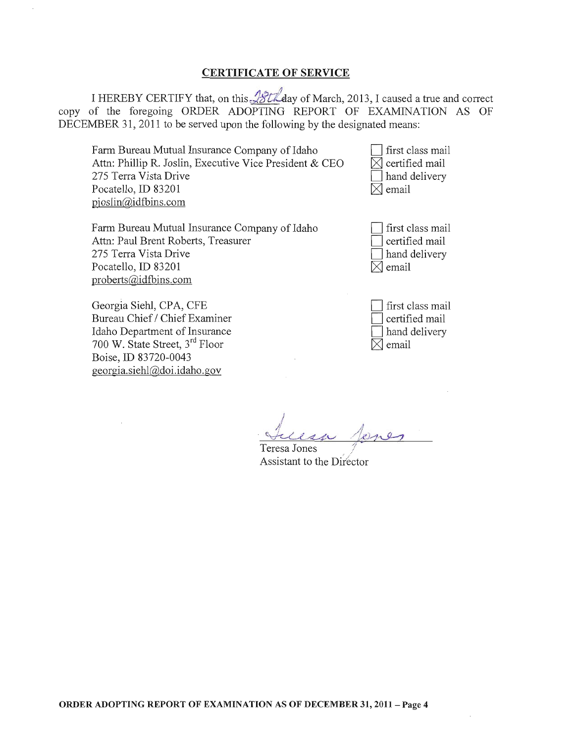## CERTIFICATE OF SERVICE

I HEREBY CERTIFY that, on this  $\frac{\sqrt{8t\lambda}}{a}$ day of March, 2013, I caused a true and correct copy of the foregoing ORDER ADOPTING REPORT OF EXAMINATION AS OF DECEMBER 31, 2011 to be served upon the following by the designated means:

Farm Bureau Mutual Insurance Company of Idaho Attn: Phillip R. Joslin, Executive Vice President & CEO 275 Terra Vista Drive Pocatello, ID 83201 pjoslin@idfbins.com

Farm Bureau Mutual Insurance Company of Idaho Attn: Paul Brent Roberts, Treasurer 275 Terra Vista Drive Pocatello,ID 83201 proberts@idfbins.com

Georgia Siehl, CPA, CFE Bureau Chief / Chief Examiner Idaho Department of Insurance 700 W. State Street, 3rd Floor Boise, ill 83720-0043 georgia.siehl@doi.idaho.gov

first class mail  $\boxtimes$  certified mail hand delivery  $\boxtimes$  email

| first class mail |
|------------------|
| certified mail   |
| hand delivery    |
| email            |

| first class mail |
|------------------|
| certified mail   |
| hand delivery    |
| $ X $ email      |

! ;/  $\forall$ 

Teresa Jones Assistant to the Director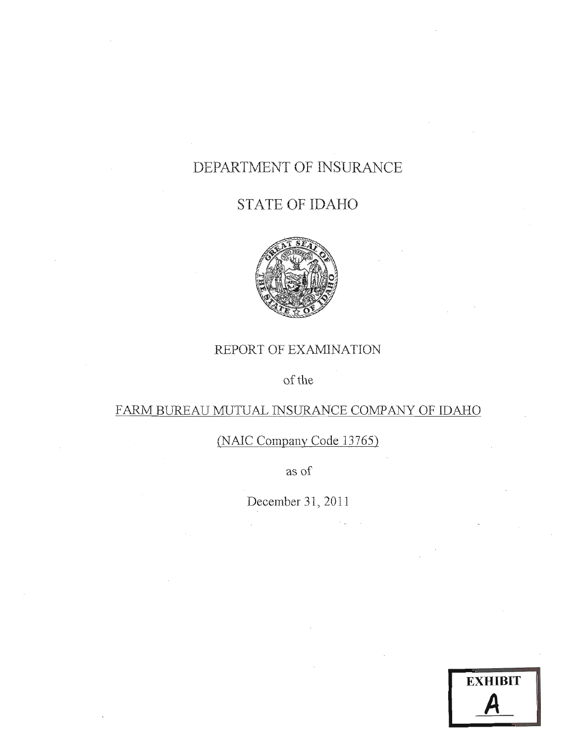# DEPARTMENT OF INSURANCE

# STATE OF IDAHO



## REPORT OF EXAMINATION

## of the

# FARM BUREAU MUTUAL INSURANCE COMPANY OF IDAHO

## (NAlC Company Code 13765)

as of

December 31, 2011

| <b>EXHIBIT</b> |  |
|----------------|--|
|                |  |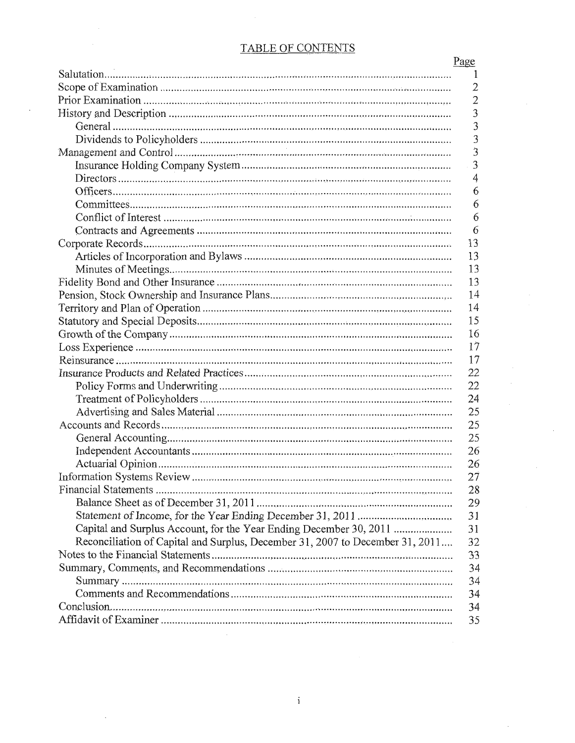## TABLE OF CONTENTS

|                                                                               | Page           |
|-------------------------------------------------------------------------------|----------------|
|                                                                               | $\perp$        |
|                                                                               | $\overline{2}$ |
|                                                                               | $\overline{2}$ |
|                                                                               | $\overline{3}$ |
|                                                                               | 3              |
|                                                                               | 3              |
|                                                                               | $\ddot{3}$     |
|                                                                               | $\overline{3}$ |
|                                                                               | 4              |
|                                                                               | 6              |
|                                                                               | 6              |
|                                                                               | 6              |
|                                                                               | 6              |
|                                                                               | 13             |
|                                                                               | 13             |
|                                                                               | 13             |
|                                                                               | 13             |
|                                                                               | 14             |
|                                                                               | 14             |
|                                                                               | 15             |
|                                                                               | 16             |
|                                                                               | 17             |
|                                                                               | 17             |
|                                                                               | 22             |
|                                                                               | 22             |
|                                                                               | 24             |
|                                                                               | 25             |
|                                                                               | 25             |
|                                                                               | 25             |
|                                                                               | 26             |
|                                                                               | 26             |
|                                                                               | 27             |
|                                                                               |                |
|                                                                               | 28             |
|                                                                               | 29             |
|                                                                               | 31             |
|                                                                               | 31             |
| Reconciliation of Capital and Surplus, December 31, 2007 to December 31, 2011 | 32             |
|                                                                               | 33             |
|                                                                               | 34             |
|                                                                               | 34             |
|                                                                               | 34             |
|                                                                               | 34             |
|                                                                               | 35             |

 $\cdot$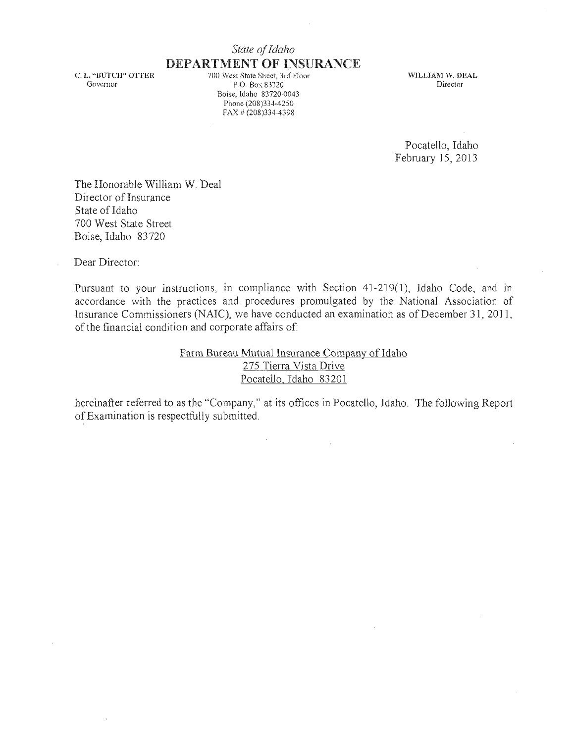## *State of Idaho*  **DEPARTMENT OF INSURANCE** 700 West State Street, 3rd Floor

C. L. "BUTCH" OTTER Govemor

P.O. Box 83720 Boise, Idaho 83720-0043 Phone (208)334-4250 FAX # (208)334-4398

WILLIAM W. DEAL Director

Pocatello, Idaho February] 5, 2013

The Honorable William W. Deal Director of Insurance State of Idaho 700 West State Street Boise, Idaho 83720

Dear Director:

Pursuant to your instructions, in compliance with Section 41-219(1), Idaho Code, and in accordance with the practices and procedures promulgated by the National Association of Insurance Commissioners (NAIC), we have conducted an examination as of December 31 , 2011, of the financial condition and corporate affairs of:

> Farm Bureau Mutual Insurance Company of Idaho 275 Tierra Vista Drive Pocatello, Idaho 83201

hereinafter referred to as the "Company," at its offices in Pocatello, Idaho. The following Report of Examination is respectfully submitted.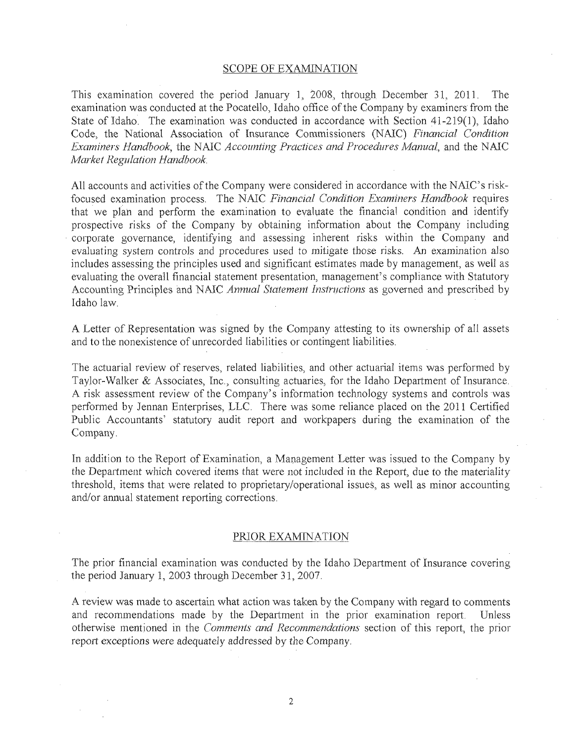#### SCOPE OF EXAMINATION

This examination covered the period January 1, 2008, through December 31, 2011. The examination was conducted at the Pocatello, Idaho office of the Company by examiners from the State of Idaho. The examination was conducted in accordance with Section 41-219(1), Idaho Code, the National Association of Insurance Commissioners (NAIC) *Financial Condition Examiners Handbook, the NAIC Accounting Practices and Procedures Manual, and the NAIC Market Regulation Handbook.* 

All accounts and activities of the Company were considered in accordance with the NAIC's riskfocused examination process. The NAIC Financial Condition Examiners Handbook requires that we plan and perform the examination to evaluate the financial condition and identify prospective risks of the Company by obtaining information about the Company including corporate governance, identifying and assessing inherent risks within the Company and evaluating system controls and procedures used to mitigate those risks. An examination also includes assessing the principles used and significant estimates made by management, as well as evaluating the overall financial statement presentation, management's compliance with Statutory Accounting Principles and NAIC *Annual Statement Instructions* as governed arid prescribed by Idaho law.

A Letter of Representation was signed by the Company attesting to its ownership of all assets and to the nonexistence of unrecorded liabilities or contingent liabilities.

The actuarial review of reserves, related liabilities, and other actuarial items was performed by Taylor-Walker & Associates, Inc., consulting actuaries, for the Idaho Department of Insurance. A risk assessment review of the Company's information technology systems and controls was performed by Jennan Enterprises, LLC. There was some reliance placed on the 2011 Certified Public Accountants' statutory audit report and workpapers during the examination of the Company.

In addition to the Report of Examination, a Management Letter was issued to the Company by the Department which covered items that were not included in the Report, due to the materiality threshold, items that were related to proprietary/operational issues, as well as minor accounting and/or annual statement reporting corrections.

#### PRIOR EXAMINATION

The prior financial examination was conducted by the Idaho Department of Insurance covering the period January 1, 2003 through December 31, 2007.

A review was made to ascertain what action was taken by the Company with regard to comments and recommendations made by the Department in the prior examination report. Unless otherwise mentioned in the *Comments and Recommendations* section of this report, the prior report exceptions were adequately addressed by *the* Company.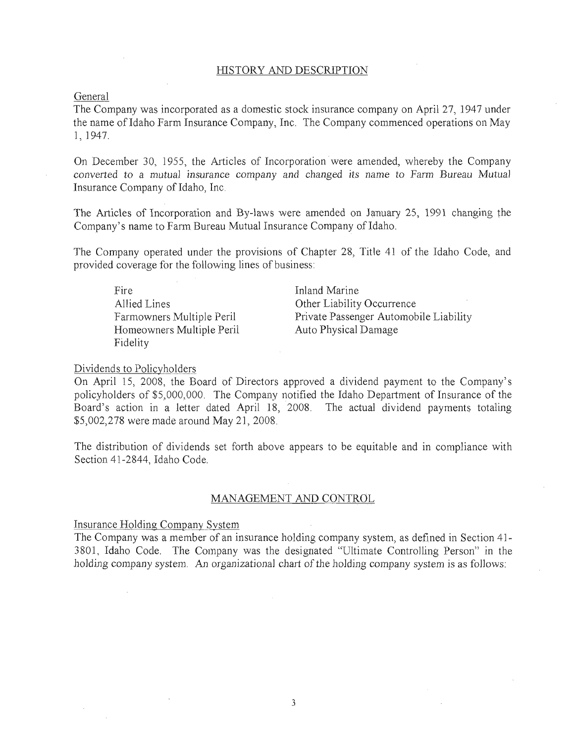#### HISTORY AND DESCRIPTION

General

The Company was incorporated as a domestic stock insurance company on April 27, 1947 under the name of Idaho Farm Insurance Company, Inc. The Company commenced operations on May 1, 1947.

On December 30, 1955, the Articles of Incorporation: were amended, whereby the Company converted to a *mutual* insurance company and changed *its* name to Farm Bureau Mutual Insurance Company of Idaho, Inc.

The Articles of Incorporation and By-laws were amended on January 25, 1991 changing the Company's name to Farm Bureau Mutual Insurance Company of Idaho.

The Company operated under the provisions of Chapter 28, Title 41 of the Idaho Code, and provided coverage for the following lines of business:

Fire Allied Lines Farmowners Multiple Peril Homeowners Multiple Peril Fidelity

Inland Marine Other Liability Occurrence Private Passenger Automobile Liability Auto Physical Damage

#### Dividends to Policyholders

On April 15, 2008, the Board of Directors approved a dividend payment to the Company's policyholders of \$5,000,000. The Company notified the Idaho Depariment of Insurance of the Board's action in a letter dated April 18, 2008. The actual dividend payments totaling \$5,002,278 were made around May 21,2008.

The distribution of dividends set forth above appears to be equitable and in compliance with Section 41-2844, Idaho Code.

#### MANAGEMENT AND CONTROL

Insurance Holding Company Svstem

The Company was a member of an insurance holding company system, as defined in Section 41 - 3801, Idaho Code. The Company was the designated "Ultimate Controlling Person" in the holding company system. An organizational chart of the holding company system is as follows: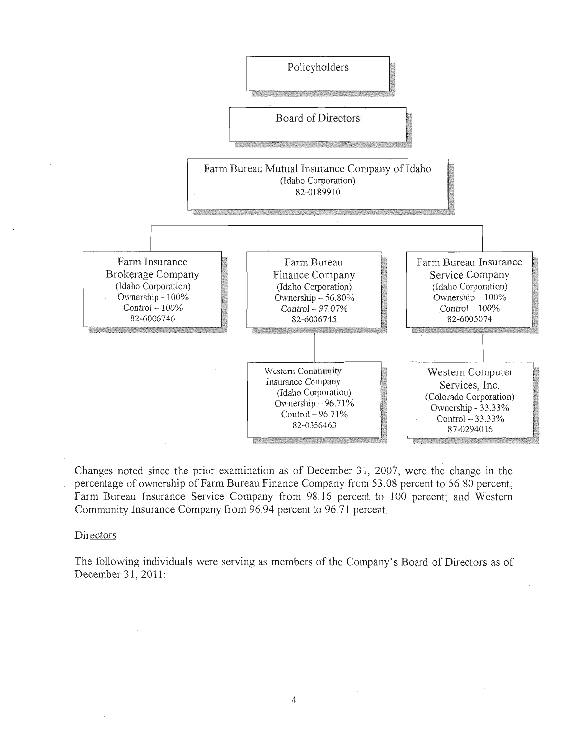

Changes noted since the prior examination as of December 31, 2007, were the change in the percentage of ownership of Farm Bureau Finance Company from 53.08 percent to 56.80 percent; Farm Bureau Insurance Service Company from 98.16 percent to 100 percent; and Western Community Insurance Company from 96.94 percent to 96.7] percent

#### Directors

The following individuals were serving as members of the Company's Board of Directors as of December 31, 2011: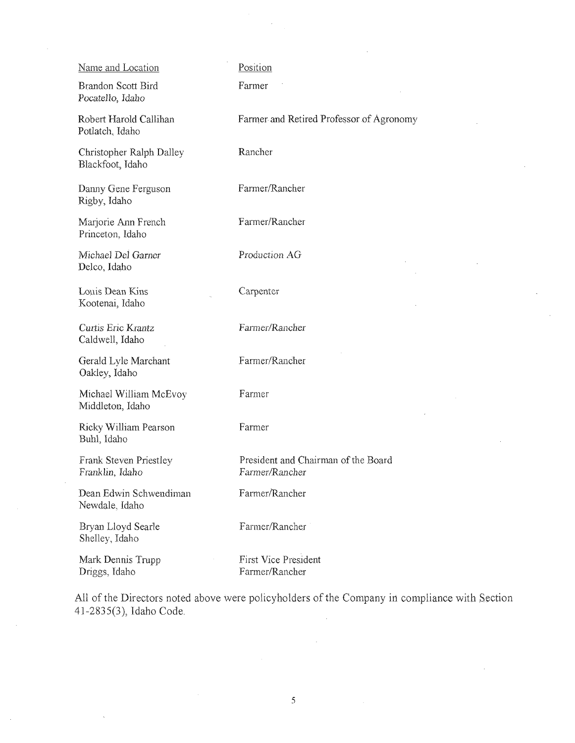| Name and Location                            | Position                                              |
|----------------------------------------------|-------------------------------------------------------|
| Brandon Scott Bird<br>Pocatello, Idaho       | Farmer                                                |
| Robert Harold Callihan<br>Potlatch, Idaho    | Farmer and Retired Professor of Agronomy              |
| Christopher Ralph Dalley<br>Blackfoot, Idaho | Rancher                                               |
| Danny Gene Ferguson<br>Rigby, Idaho          | Farmer/Rancher                                        |
| Marjorie Ann French<br>Princeton, Idaho      | Farmer/Rancher                                        |
| Michael Del Garner<br>Delco, Idaho           | Production AG                                         |
| Louis Dean Kins<br>Kootenai, Idaho           | Carpenter                                             |
| Curtis Eric Krantz<br>Caldwell, Idaho        | Farmer/Rancher                                        |
| Gerald Lyle Marchant<br>Oakley, Idaho        | Farmer/Rancher                                        |
| Michael William McEvoy<br>Middleton, Idaho   | Farmer                                                |
| Ricky William Pearson<br>Buhl, Idaho         | Farmer                                                |
| Frank Steven Priestley<br>Franklin, Idaho    | President and Chairman of the Board<br>Farmer/Rancher |
| Dean Edwin Schwendiman<br>Newdale, Idaho     | Farmer/Rancher                                        |
| Bryan Lloyd Searle<br>Shelley, Idaho         | Farmer/Rancher                                        |
| Mark Dennis Trupp<br>Driggs, Idaho           | First Vice President<br>Farmer/Rancher                |

 $\mathcal{A}$ 

 $\bar{z}$ 

 $\bar{z}$ 

 $\sim$ 

 $\sim$ 

All of the Directors noted above were policyholders of the Company in compliance with Section 41-2835(3), Idaho Code.  $\hat{\mathcal{A}}$ 

 $\sim$ 

J.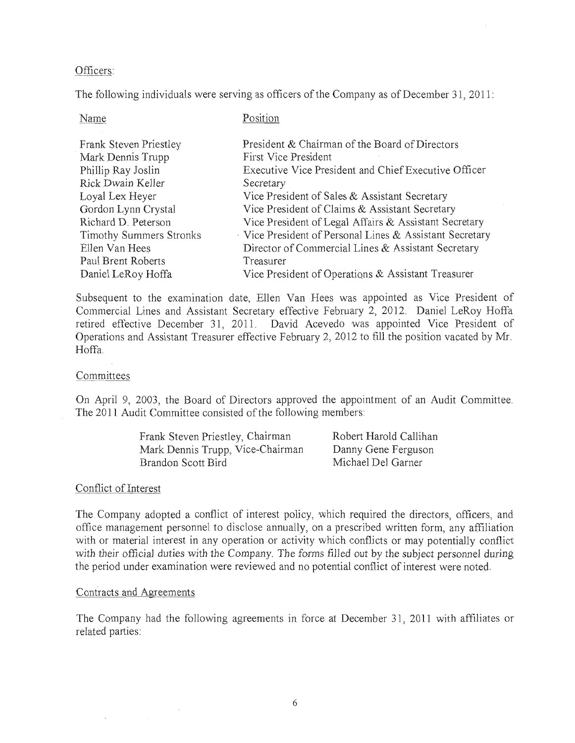## Officers:

The following individuals were serving as officers of the Company as of December 31,2011:

| Name                           | Position                                               |
|--------------------------------|--------------------------------------------------------|
| Frank Steven Priestley         | President & Chairman of the Board of Directors         |
| Mark Dennis Trupp              | First Vice President                                   |
| Phillip Ray Joslin             | Executive Vice President and Chief Executive Officer   |
| Rick Dwain Keller              | Secretary                                              |
| Loyal Lex Heyer                | Vice President of Sales & Assistant Secretary          |
| Gordon Lynn Crystal            | Vice President of Claims & Assistant Secretary         |
| Richard D. Peterson            | Vice President of Legal Affairs & Assistant Secretary  |
| <b>Timothy Summers Stronks</b> | Vice President of Personal Lines & Assistant Secretary |
| Ellen Van Hees                 | Director of Commercial Lines & Assistant Secretary     |
| Paul Brent Roberts             | Treasurer                                              |
| Daniel LeRoy Hoffa             | Vice President of Operations $\&$ Assistant Treasurer  |

Subsequent to the examination date, Ellen Van Hees was appointed as Vice President of Commercial Lines and Assistant Secretary effective February 2, 2012. Daniel LeRoy Hoffa retired effective December 31, 2011. David Acevedo was appointed Vice president of Operations and Assistant Treasurer effective February 2, 2012 to fill the position vacated by Mr. Hoffa.

## Committees

On April 9, 2003, the Board of Directors approved the appointment of an Audit Committee. The 2011 Audit Committee consisted of the following members:

| Frank Steven Priestley, Chairman | Robert Harold Callihan |
|----------------------------------|------------------------|
| Mark Dennis Trupp, Vice-Chairman | Danny Gene Ferguson    |
| Brandon Scott Bird               | Michael Del Garner     |

## Conflict of Interest

The Company adopted a conflict of interest policy, which required the directors, officers, and office management personnel to disclose annually, on a prescribed written form, any affiliation with or material interest in any operation or activity which conflicts or may potentially conflict with their official duties *with* the Company. The forms filled out by the subject personnel during the period under examination were reviewed and no potential conflict of interest were noted.

## Contracts and Agreements

 $\sim$ 

The Company had the following agreements in force at December 31, 2011 with affiliates or related parties: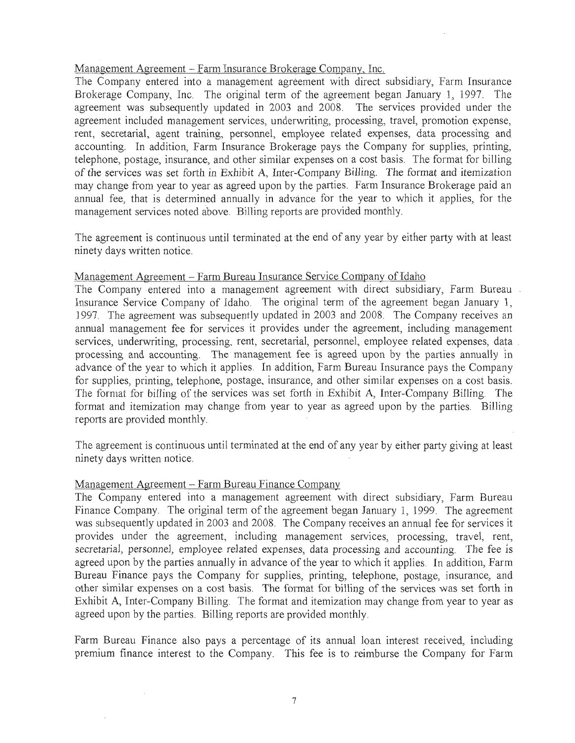## Management Agreement ~ Farm Insurance Brokerage Company, Inc.

The Company entered into a management agreement with direct subsidiary, Farm Insurance Brokerage Company, Inc. The original term of the agreement began January 1, 1997. The agreement was subsequently updated in 2003 and 2008. The services provided under the agreement included management services, underwriting, processing, travel, promotion expense, rent, secretarial, agent training, personnel, employee related expenses, data processing and accounting. In addition, Farm Insurance Brokerage pays the Company for supplies, printing, telephone, postage, insurance, and other similar expenses on a cost basis. The format for billing of the services was set forth in Exhibit A, Inter-Company *Billing.* The format and itemization may change from year to year as agreed upon by the parties. Farm Insurance Brokerage paid an annual fee, that is determined annually in advance for the year to which it applies, for the management services noted above. Bi11ing reports are provided monthly.

The agreement is continuous until terminated at the end of any year by either party with at least ninety days written notice.

## Management Agreement – Farm Bureau Insurance Service Company of Idaho

The Company entered into a management agreement with direct subsidiary, Farm Bureau Insurance Service Company of Idaho. The original term of the agreement began January 1, ] 997. The agreement Was subsequently updated in 2003 and 2008. The Company receives an annual management fee for services it provides under the agreement, including management services, underwriting, processing, rent, secretarial, personnel, employee related expenses, data processing and accounting. The management fee is agreed upon by the parties annually in advance of the year to which it applies. In addition; Farm Bureau Insurance pays the Company for supplies, printing, telephone, postage, insurance, and other similar expenses on a cost basis. The format for billing of the services was set forth in Exhibit A, Inter-Company Bi1Iing. The format and itemization may change from year to year as agreed upon by the parties. Billing reports are provided monthly.

The agreement is continuous until terminated at the end of any year by either party giving at least ninety days written notice.

## Management Agreement ~ Farm Bureau Finance Company

The Company entered into a management agreement with direct subsidiary, Farm Bureau Finance Company. The original term of the agreement began January 1, 1999. The agreement was subsequently updated in 2003 and 2008. The Company receives an annual fee for services it provides under the agreement, including management services, processing, travel, rent, secretarial, personnel, employee related expenses, data processing and accounting. The fee is agreed upon by the parties annually in advance of the year to which it applies. In addition, Farm Bureau Finance pays the Company for supplies, printing, telephone, postage, insurance, and other similar expenses on a cost basis. The format for billing of the services was set forth in Exhibit A, Inter-Company Billing. The format and itemization may change from year to year as agreed upon by the parties. Billing reports are provided monthly,

Farm Bureau Finance also pays a percentage of its annual loan interest received, including premium finance interest to the Company. This fee is to reimburse the Company for Farm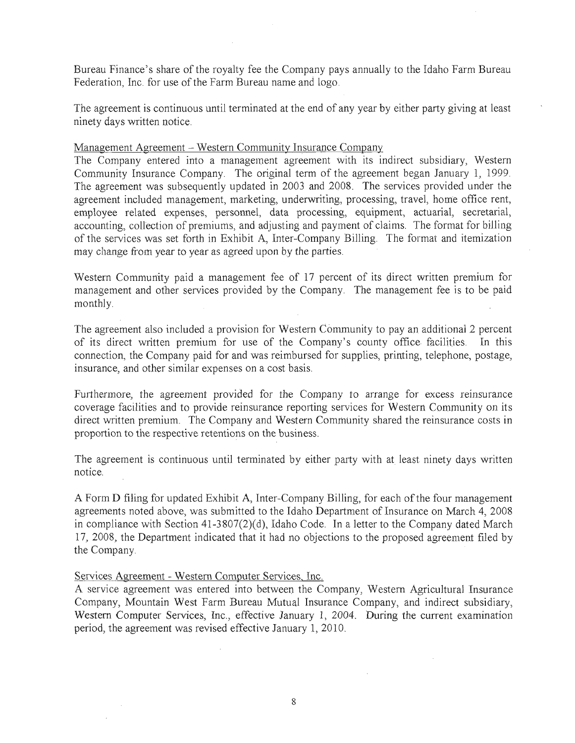Bureau Finance's share of the royalty fee the Company pays annually to the Idaho Farm Bureau Federation, Inc. for use of the Farm Bureau name and logo.

The agreement is continuous until terminated at the end of any year by either party giving at least ninety days written notice.

Management Agreement - Western Community Insurance Company

The Company entered into a management agreement with its indirect subsidiary, Western Community Insurance Company. The original term of the agreement began January 1, 1999. The agreement was subsequently updated in 2003 and 2008. The services provided under the agreement included management, marketing, underwriting, processing, travel, home office rent, employee related expenses, personnel, data processing, equipment, actuarial, secretarial, accounting, collection of premiums, and adjusting and payment of claims. The format for billing of the services was set forth in Exhibit A, Inter-Company Billing. The format and itemization may change from year to year as agreed upon by the parties.

Western Community paid a management fee of 17 percent of its direct written premium for management and other services provided by the Company. The management fee is to be paid monthly.

The agreement also included a provision for Western Community to pay an additiona12 percent of its direct written premium for use of the Company's county office facilities. In this connection, the Company paid for and was reimbursed for supplies, printing, telephone, postage, insurance, and other similar expenses on a cost basis.

Furthermore, the agreement provided for the Company to arrange for excess reinsurance coverage facilities and to provide reinsurance reporting services for Western Community on its direct written premium. The Company and Western Community shared the reinsurance costs in proportion to the respective retentions on the business.

The agreement is continuous until terminated by either party with at least ninety days written notice.

A Form D filing for updated Exhibit A, Inter-Company BiUing, for each of the four management agreements noted above, was submitted to the Idaho Department of Insurance on March 4, 2008 in compliance with Section 41 -3807(2)(d), Idaho Code. In a letter to the Company dated March 17, 2008, the Department indicated that it had no objections to the proposed agreement filed by the Company.

Services Agreement - Western Computer Services, Inc.

A service agreement was entered into between the Company, Western Agricultural Insurance Company, Mountain West Farm Bureau Mutual Insurance Company, and indirect subsidiary, Western Computer Services, Inc., effective January 1, 2004. During the current examination period, the agreement was revised effective January 1, 2010.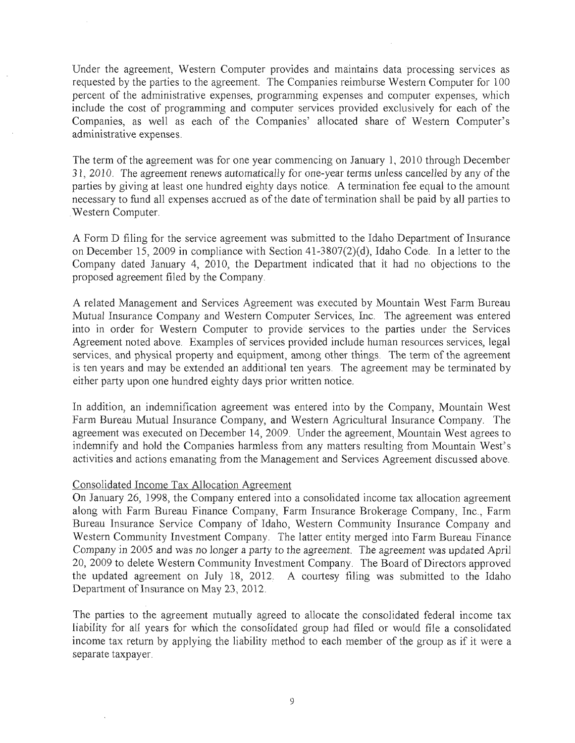Under the agreement, Western Computer provides and maintains data processing services as requested by the parties to the agreement. The Companies reimburse Western Computer for 100 percent of the administrative expenses, programming expenses and computer expenses, which include the cost of programming and computer services provided exclusively for each of the Companies, as well as each of the Companies' allocated share of Western Computer's administrative expenses.

The term of the agreement was for one year commencing on January 1, 2010 through December 31, 2010. The agreement renews automatically for one-year terms unless cancelled by any of the parties by giving at least one hundred eighty days notice. A termination fee equal to the amount necessary to fund all expenses accrued as of the date of termination shall be paid by all parties to Western Computer.

A Form D filing for the service agreement was submitted to the Idaho Department of Insurance on December 15, 2009 in compliance with Section 41-3807(2)(d), Idaho Code. In a letter to the Company dated January 4, 2010, the Department indicated that it had no objections to the proposed agreement filed by the Company.

A related Management and Services Agreement was executed by Mountain West Farm Bureau Mutual Insurance Company and Western Computer Services, Inc. The agreement was entered into in order for Western Computer to provide services to the parties under the Services Agreement noted above. Examples of services provided include human resources services, legal services, and physical property and equipment, among other things. The term of the agreement is ten years and may be extended an additional ten years. The agreement may be terminated by either party upon one hundred eighty days prior written notice.

In addition, an indemnification agreement was entered into by the Company, Mountain West Farm Bureau Mutual Insurance Company, and Western Agricultural Insurance Company. The agreement was executed on December 14, 2009. Under the agreement, Mountain West agrees to indemnify and hold the Companies harmless from any matters resulting from Mountain West's activities and actions emanating from the Management and Services Agreement discussed above.

## Consolidated Income Tax Allocation Agreement

On January 26, 1998, the Company entered into a consolidated income tax allocation agreement along with Farm Bureau Finance Company, Farm Insurance Brokerage Company, Inc., Farm Bureau Insurance Service Company of Idaho, Western Community Insurance Company and Western Community Investment Company. The latter entity merged into Farm Bureau Finance Company in 2005 and was no longer a party to the agreement. The agreement was updated April 20, 2009 to delete Western Community Investment Company. The Board of Directors approved the updated agreement on July  $18$ ,  $2012$ . A courtesy filing was submitted to the Idaho Department of Insurance on May 23, 2012.

The parties to the agreement mutually agreed to allocate the consolidated federal income tax liability for all years for which the consolidated group had filed or would file a consolidated income tax return by applying the liability method to each member of the group as if it were a separate taxpayer.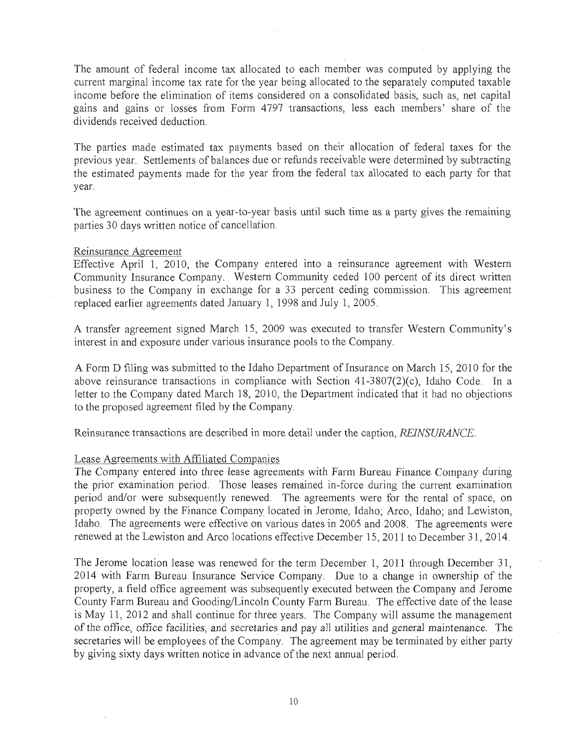The amount of federal income tax allocated to each member was computed by applying the current marginal income tax rate for the year being allocated to the separately computed taxable income before the elimination of items considered on a consolidated basis, such as, net capital gains and gains or losses from Form 4797 transactions, less each members' share.of the dividends received deduction.

The parties made estimated tax payments based on their allocation of federal taxes for the previous year. Settlements of balances due or refunds receivable were determined by subtracting the estimated payments made for the year from the federal tax allocated to each party for that year.

The agreement continues on a year-to-year basis until such time as a party gives the remaining parties 30 days written notice of cancellation.

### Reinsurance Agreement

Effective April 1, 2010, the Company entered into a reinsurance agreement with Western Community Insurance Company. Western Community ceded 100 percent of its direct written . business to the Company in exchange for a 33 percent ceding commission. This agreement replaced earlier agreements dated January 1, 1998 and July 1,2005.

A transfer agreement signed March 15, 2009 was executed to transfer Western Community's interest in and exposure under various insurance pools to the Company.

A Form D filing was submitted to the Idaho Department of Insurance on March 15, 2010 for the above reinsurance transactions in compliance with Section  $41-3807(2)(c)$ , Idaho Code. In a letter to the Company dated March 18, 2010, the Department indicated that it had no objections to the proposed agreement filed by the Company.

Reinsurance transactions are described in more detail under the caption, *REINSURANCE.* 

#### Lease Agreements with Affiliated Companies

The Company entered into three lease agreements with Farm Bureau Finance Company during the prior examination period. Those leases remained in-force during the current examination period and/or were subsequently renewed. The agreements were for the rental of space, on property owned by the Finance Company located in Jerome, Idaho; Arco, Idaho; and Lewiston, Idaho. The agreements were effective on various dates in 2005 and 2008. The agreements were renewed at the Lewiston and Arco locations effective December 15, 2011 to December 31,2014.

The Jerome location lease was renewed for the term December 1, 2011 through December 31, 2014 with Farm Bureau Insurance Service Company. Due to a change in ownership of the property, a field office agreement was subsequently executed between the Company and Jerome County Farm Bureau and Gooding/Lincoln County Farm Bureau. The effective date of the lease is May 11, 2012 and shall continue for three years. The Company will assume the management of the office, office facilities, and secretaries and pay all utilities and general maintenance. The secretaries will be employees of the Company. The agreement may be terminated by either party by giving sixty days written notice in advance of the next annual period.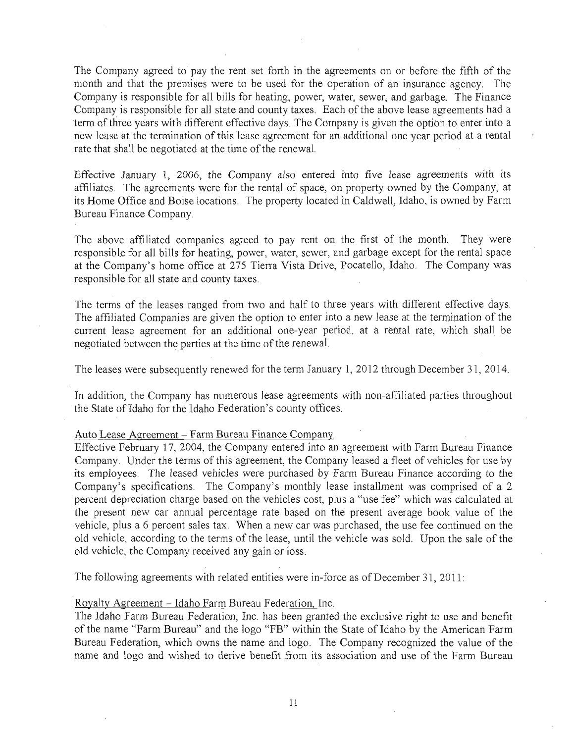The Company agreed to pay the rent set forth in the agreements on or before the fifth of the month and that the premises were to be used for the operation of an insurance agency. The Company is responsible for all bills for heating, power, water, sewer; and garbage. The Finance Company is responsible for all state and county taxes. Each of the above lease agreements had a term of three years with different effective days. Tbe Company is given the option to enter into a new lease at the termination of this lease agreement for an additional one year period ata rental rate that shall be negotiated at the time of the renewal.

Effective January 1, 2006, the Company also entered into five lease agreements with its affiliates. The agreements were for the rental of space, on property owned by the Company, at its Home Office and Boise locations. The property located in Caldwell, Idaho, is owned by Farm Bureau Finance Company.

The above affiliated companies agreed to pay rent on the first of the month. They were responsible for all bills for heating, power, water, sewer, and garbage except for the rental space at the Company's home office at 275 Tierra Vista Drive, Pocatello, Idaho. The Company was responsible for all state and county taxes.

The terms of the leases ranged from two and half to three years with different effective days. The affiliated Companies are given the option to enter jnto a new lease at the termination of the current lease agreement for an additional one-year period, at a rental rate, which shall be negotiated between the parties at the time of the renewal.

The leases were subsequently renewed for the term January 1, 2012 through December 31, 2014.

In addition, the Company has numerous lease agreements with non-affiliated parties throughout the State of Idaho for the Idaho Federation's county offices.

#### Auto Lease Agreement - Farm Bureau Finance Company

Effective February 17, 2004, the Company entered into an agreement with Farm Bureau Finance Company. Under the terms of this agreement, the Company leased a fleet of vehicles for use by its employees. The leased vehicles were purchased by Fann Bureau Finance according to the Company's specifications. The Company's monthly lease installment was comprised of a 2 percent depreciation charge based on the vehicles cost, plus a "use fee" which was calculated at the present new car annual percentage rate based on the present average book value of the vehicle, plus a 6 percent sales tax. When a new car was purchased, the use fee continued on the old vehicle, according to the terms of the lease, until the vehicle was sold. Upon the sale of the old vehicle, the Company received any gain or loss.

The following agreements with related entities were in-force as of December 31, 2011:

#### Royalty Agreement - Idaho Farm Bureau Federation, Inc.

The Idaho Farm Bureau Federation, Inc. has been granted the exclusive right to use and benefit of the name "Farm Bureau" and the logo "FB" within the State of Idaho by the American Farm Bureau Federation, which owns the name and logo. The Company recognized the value of the name and logo and wished to derive benefit from its association and use of the Farm Bureau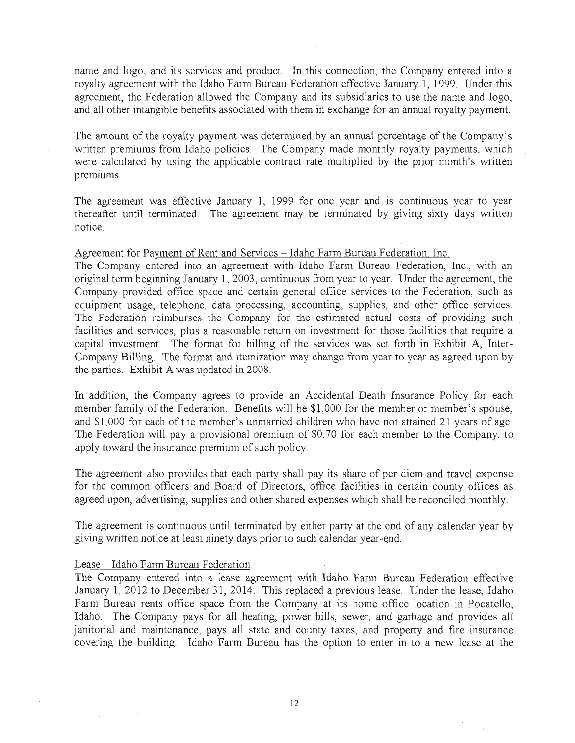name and logo, and its services and product. In this connection, the Company entered into a royalty agreement with the Idaho Farm Bureau Federation effective January 1, 1999. Under this agreement, the Federation allowed the Company and its subsidiaries to use the name and logo, and all other intangible benefits associated with them in exchange for an annual royalty payment.

The amount of the royalty payment was determined by an annual percentage of the Company's written premiums from Idaho policies. The Company made monthly royalty payments, which were calculated by using the applicable contract rate multiplied by the prior month's written premiums.

The agreement was effective January 1, 1999 for one year and is continuous year to year thereafter until terminated. The agreement may be terminated by giving sixty days written notice.

Agreement for Payment of Rent and Services - Idaho Farm Bureau Federation, Inc.

The Company entered into an agreement with Idaho Farm Bureau Federation, Inc., with an original term beginning January 1, 2003, continuous from year to year. Under the agreement, the Company provided office space and certain general office services to the Federation, such as equipment usage, telephone, data processing, accounting, supplies, and other office services. The Federation reimburses the Company for the estimated actual costs of providing such facilities and services, plus a reasonable return on investment for tbose facilities that require a capital investment. The format for billing of the services was set forth in Exhibit A, Inter-Company Billing. The format and itemization may change from year to year as agreed upon by the parties. Exhibit A was updated in 2008.

In addition, the Company agrees to provide an Accidental Death Insurance Policy for each member family of the Federation. Benefits will be \$1,000 for the member or member's spouse, and \$1,000 for each of the member's unmarried chiidren who have not attained 21 years of age. The Federation will pay a provisional premium of \$0.70 for each member to the Company, to apply toward the insurance premium of such policy.

The agreement also provides that each party shall pay its share of per diem and travel expense for the common officers and Board of Directors, office facilities in certain county offices as agreed upon, advertising, supplies and other shared expenses which shall be reconciled monthly.

The agreement is continuous until terminated by either party at the end of any calendar year by giving written notice at least ninety days prior to such calendar year-end.

#### Lease- Idaho Farm Bureau Federation

The Company entered into a lease agreement with Idaho Farm Bureau Federation effective January 1, 2012 to December 31, 2014. This replaced a previous lease. Under the lease, Idaho Farm Bureau rents office space from the Company at its home office location in Pocatello, Idaho. The Company pays for alI heating, power bills, sewer, and garbage and provides all janitorial and maintenance, pays all state and county taxes, and property and fire insurance covering the building. Idaho Farm Bureau has the option to enter in to a new lease at the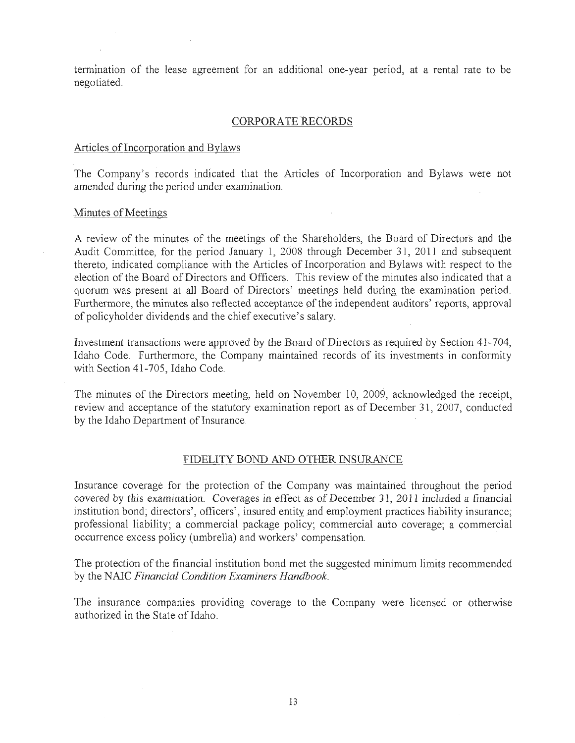termination of the lease agreement for an additional one-year period, at a rental rate to be negotiated.

### CORPORATE RECORDS

#### Articles of Incorporation and Bylaws

The Company's records indicated that the Articles of Incorporation and Bylaws were not amended during the period under examination.

#### Minutes of Meetings

A review of the minutes of the meetings of the Shareholders, the Board of Directors and the Audit Committee, for the period January 1, 2008 through December 31, 2011 and subsequent thereto, indicated compliance with the Articles of Incorporation and Bylaws with respect to the election of the Board of Directors and Officers. This review of the minutes also indicated that a quorum was present at all Board of Directors' meetings held during the examination period. Furthermore, the minutes also reflected acceptance of the independent auditors' reports, approval of policyholder dividends and the chief executive's salary.

Investment transactions were approved by the Board of Directors as required by Section 41-704, Idaho Code. Furthermore, the Company maintained records of its investments in conformity with Section 41-705, Idaho Code.

The minutes of the Directors meeting, held on November 10, 2009, acknowledged the receipt, review and acceptance of the statutory examination report as of December 31, 2007, conducted by the Idaho Department of Insurance.

#### FIDELITY BOND AND OTHER INSURANCE

Insurance coverage for the protection of the Company was maintained throughout the period covered by this examination. Coverages *in* effect as of Decembet 31,2011 included a financial institution bond; directors', officers', insured entity and employment practices liability insurance; professional liability; a commercial package policy; commercial auto coverage; a commercial occurrence excess policy (umbrella) and workers' compensation.

The protection of the financial institution bond met the suggested minimum limits recommended by the NAIC Financial Condition Examiners Handbook.

The insurance companies providing coverage to the Company were licensed or otherwise authorized in the State of Idaho.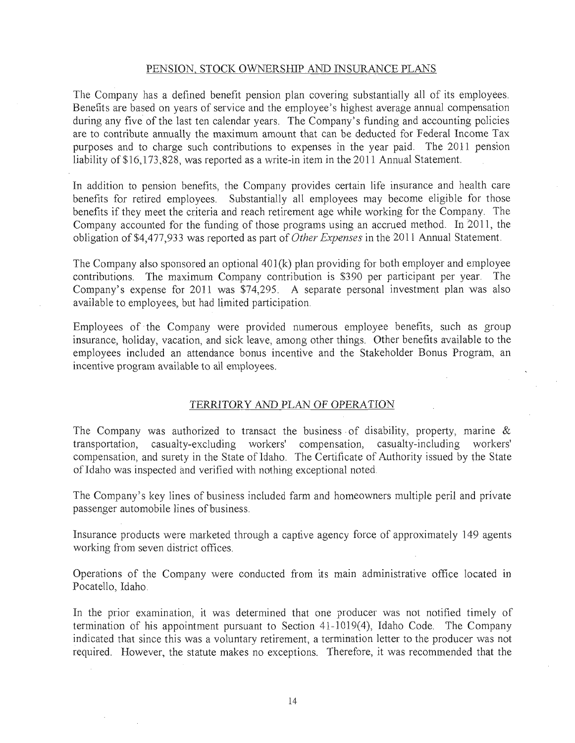#### PENSION, STOCK OWNERSHIP AND INSURANCE PLANS

The Company has a defined benefit pension plan covering substantially all of its employees. Benefits are based on years of service and the employee's highest average annual compensation during any five of the last ten calendar years. The Company's funding and accounting policies are to contribute annually the maximum amount that can be deducted for Federal Income Tax purposes and to charge such contributions to expenses in the year paid. The 2011 pension liability of \$16,173,828, was reported as a write-in item in the 2011 Annual Statement.

In addition to pension benefits, the Company provides certain life insurance and health care benefits for retired employees. Substantially all employees may become eligible for those benefits if they meet the criteria and reach retirement age while working for the Company. The Company accounted for the funding of those programs using an accrued method. In 2011, the obligation of \$4,477,933 was reported as part of *Other Expenses* in the 2011 Annual Statement.

The Company also sponsored an optional  $401(k)$  plan providing for both employer and employee contributions. The maximum Company contribution is \$390 per participant pet year. The Company's expense for  $2011$  was \$74,295. A separate personal investment plan was also available to employees, but had limited participation.

Employees of the Company were provided numerous employee benefits, such as group insurance, holiday, vacation, and sick leave, among other things. Other benefits available to the employees included an attendance bonus incentive and the Stakeholder Bonus Program, an incentive program available to all employees.

### TERRITORY AND PLAN OF OPERATION

The Company was authorized to transact the business of disability, property, marine  $\&$ transportation, casualty-excluding workers' compensation, casualty-including workers' compensation, and surety in the State of Idaho. The Certificate of Authority issued by the State ofIdaho was inspected and verified with nothing exceptional noted.

The Company's key lines of business included farm and homeowners multiple peril and private passenger automobile lines of business.

Insurance products were marketed through a captive agency force of approximately 149 agents working from seven district offices.

Operations of the Company were conducted from its main administrative office located in Pocatello, Idaho.

In the prior examination, it was determined that one producer was not notified timely of termination of his appointment pursuant to Section 41-1019(4), Idaho Code. The Company indicated that since this was a voluntary retirement, a termination letter to the producer was not required. However, the statute makes no exceptions. Therefore, it was recommended that the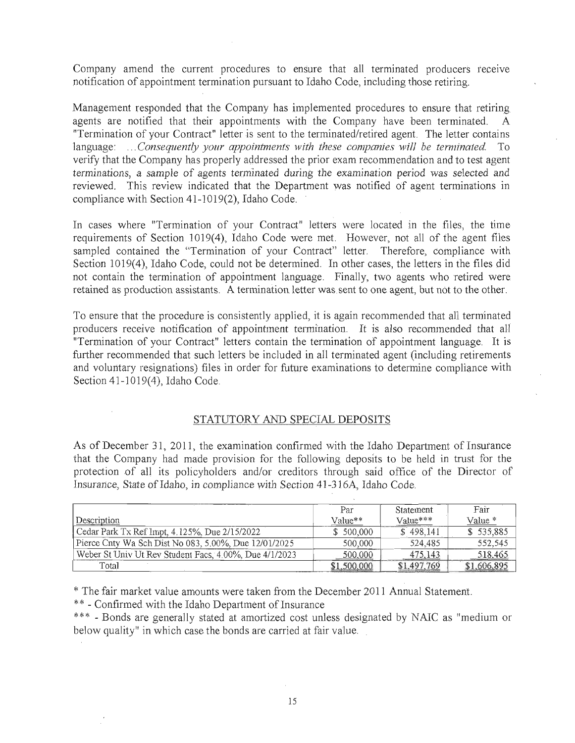Company amend the current procedures to ensure that all terminated producers receive notification of appointment termination pursuant to Idaho Code, including those retiring.

Management responded that the Company has implemented procedures to ensure that retiring agents are notified that their appointments with the Company have been terminated. A "Termination of your Contract" letter is sent to the terminated/retired agent. The letter contains language: ... *Consequently your appointments with these companies will be terminated*. To verify that the Company has properly addressed the prior exam recommendation and to test agent terminations, a sample of agents terminated during the examination period was selected and reviewed. This review indicated that the Department was notified of agent terminations in compliance with Section 41-1019(2), Idaho Code. .

In cases where "Termination of your Contract" letters were located in the files, the time requirements of Section 1019(4), Idaho Code were met. However, not all of the agent files sampled contained the "Termination of your Contract" letter. Therefore, compliance with Section 1019(4), Idaho Code, could not be determined. In other cases, the letters in the files did not contain the termination of appointment language. Finally, two agents who retired were retained as production assistants. A termination letter was. sent to one agent, but not to the other.

To ensure that the procedure is consistently applied, it is again recommended that all terminated producers receive notification of appointment termination. It is also recommended that all "Termination of your Contract" letters contain the termination of appointment language. It is further recommended that such letters be included in all terminated agent (including retirements and voluntary resignations) files in order for future examinations to determine compliance with Section 41-1019(4), Idaho Code.

## STATUTORY AND SPECIAL DEPOSITS

As of December 31, 2011, the examination confirmed with the Idaho Department of Insutance that the Company had made provision for the following deposits to be held in trust for the protection of all its policyholders and/or creditors through said office of the Director of Insurance, State of Idaho, in compliance with Section 41-316A, Idaho Code,

|                                                        | Par         | <b>Statement</b> | Fair        |
|--------------------------------------------------------|-------------|------------------|-------------|
| Description                                            | Value**     | Value***         | Value *     |
| Cedar Park Tx Ref Impt, 4.125%, Due 2/15/2022          | \$500.000   | \$498.141        | \$535,885   |
| Pierce Cnty Wa Sch Dist No 083, 5.00%, Due 12/01/2025  | 500,000     | 524,485          | 552,545     |
| Weber St Univ Ut Rev Student Facs, 4.00%, Due 4/1/2023 | 500,000     | 475,143          | 518,465     |
| Total                                                  | \$1,500,000 | \$1,497,769      | \$1,606,895 |

\* The fair market value amounts were taken from the December 2011 Annual Statement.

\*\* - Confirmed with the Idaho Department of Insurance

\*\*\* - Bonds are generally stated at amortized cost unless designated by NAIC as "medium or below quality" in which case the bonds are carried at fair value.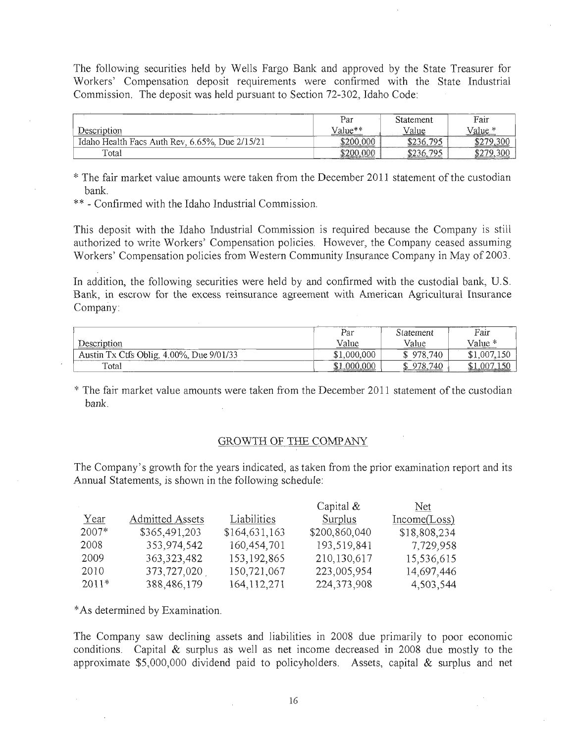The following securities held by Wells Fargo Bank and approved by the State Treasurer for Workers' Compensation deposit requirements were confirmed with the State Industrial Commission. The deposit was held pursuant to Section 72-302, Idaho Code:

|                                                | Par            | Statement | Fair               |
|------------------------------------------------|----------------|-----------|--------------------|
| Description                                    | Value**        | Value     | Value <sup>*</sup> |
| Idaho Health Facs Auth Rev, 6.65%. Due 2/15/21 | .000<br>\$200. | \$236,795 | \$279,300          |
| Total                                          | .000<br>\$200  | \$236.795 | \$279,300          |

\* The fair market value amounts were taken from the December 2011 statement of the custodian bank.

\*\* - Confirmed with the Idaho Industrial Commission.

This deposit with the Idaho Industrial Commission is required because the Company is still authorized to write Workers' Compensation policies. However, the Company ceased assuming Workers' Compensation policies from Western Community Insurance Company in May of 2003.

In addition, the following securities were held by and confirmed with the custodial bank, U.S. Bank, in escrow for the excess reinsurance agreement with American Agricultural Insurance Company:

|                                          | Par            | Statement | Fair        |
|------------------------------------------|----------------|-----------|-------------|
| Description                              | Value          | Value     | Value *     |
| Austin Tx Ctfs Oblig, 4.00%, Due 9/01/33 | \$1,000,000    | \$978.740 | \$1,007,150 |
| Total                                    | 000,000<br>\$1 | 978.740   | .007        |

\* The fair market value amounts were taken from the December 2011 statement of the custodian bank.

#### GROWTH OF THE COMPANY

The Company's growth for the years indicated, as taken from the prior examination report and its Annual Statements, is shown in the following schedule:

|         |                        |               | Capital &     | Net.         |
|---------|------------------------|---------------|---------------|--------------|
| Year    | <b>Admitted Assets</b> | Liabilities   | Surplus       | Income(Loss) |
| 2007*   | \$365,491,203          | \$164,631,163 | \$200,860,040 | \$18,808,234 |
| 2008    | 353,974,542            | 160,454,701   | 193,519,841   | 7,729,958    |
| 2009    | 363, 323, 482          | 153, 192, 865 | 210,130,617   | 15,536,615   |
| 2010    | 373,727,020            | 150,721,067   | 223,005,954   | 14,697,446   |
| $2011*$ | 388,486,179            | 164, 112, 271 | 224, 373, 908 | 4,503,544    |

\* As determined by Examination.

The Company saw declining assets and liabilities in 2008 due primarily to poor economic conditions. Capital  $&$  surplus as well as net income decreased in 2008 due mostly to the approximate  $$5,000,000$  dividend paid to policyholders. Assets, capital  $&$  surplus and net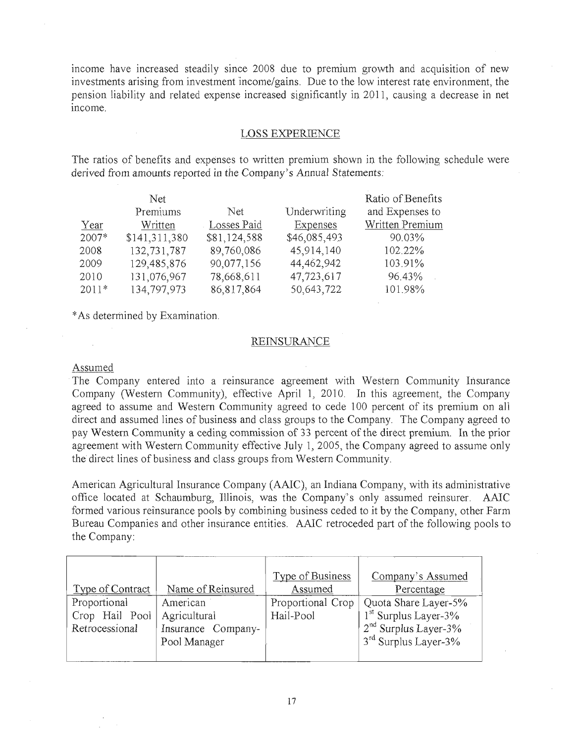income have increased steadily since 2008 due to premium growth and acquisition of new investments arising from investment income/gains. Due to the low interest rate environment, the pension liability and related expense increased significantly in 2011, causing a decrease in net mcome.

### LOSS EXPERIENCE

The ratios of benefits and expenses to written premium shown in the following schedule were derived from amounts reported in the Company's Annual Statements:

|         | Net.          |              |                 | Ratio of Benefits |
|---------|---------------|--------------|-----------------|-------------------|
|         | Premiums      | Net.         | Underwriting    | and Expenses to   |
| Year    | Written       | Losses Paid  | <b>Expenses</b> | Written Premium   |
| $2007*$ | \$141,311,380 | \$81,124,588 | \$46,085,493    | 90.03%            |
| 2008    | 132,731,787   | 89,760,086   | 45,914,140      | 102.22%           |
| 2009    | 129,485,876   | 90,077,156   | 44,462,942      | 103.91%           |
| 2010    | 131,076,967   | 78,668,611   | 47,723,617      | 96.43%            |
| $2011*$ | 134,797,973   | 86,817,864   | 50,643,722      | 101.98%           |

\* As determined by Examination.

## **REINSURANCE**

#### Assumed

The Company entered into a reinsurance agreement with Western Community Insurance Company (Western Community), effective April 1, 2010. In this agreement, the Company agreed to assume and Western Community agreed to cede 100 percent of its premium on all direct and assumed lines of business and class groups to the Company. The Company agreed to pay Western Community a ceding commission of 33 percent of the direct premium. In the prior agreement with Western Community effective July 1,2005, the Company agreed to assume only the direct lines of business and class groups from Western Community.

American Agricultural Insurance Company (AAIC), an Indiana Company, with its administrative office located at Schaumburg, Illinois, was the Company's only assumed reinsurer. AAIC formed various reinsurance pools by combining business ceded to it by the Company, other Farm Bureau Companies and other insurance entities. AAIC retroceded part of the following pools to the Company:

|                         |                    | <b>Type of Business</b> | Company's Assumed                |
|-------------------------|--------------------|-------------------------|----------------------------------|
| <b>Type of Contract</b> | Name of Reinsured  | Assumed                 | Percentage                       |
| Proportional            | American           | Proportional Crop       | Quota Share Layer-5%             |
| Crop Hail Pool          | Agricultural       | Hail-Pool               | $1st$ Surplus Layer-3%           |
| Retrocessional          | Insurance Company- |                         | $2nd$ Surplus Layer-3%           |
|                         | Pool Manager       |                         | 3 <sup>rd</sup> Surplus Layer-3% |
|                         |                    |                         |                                  |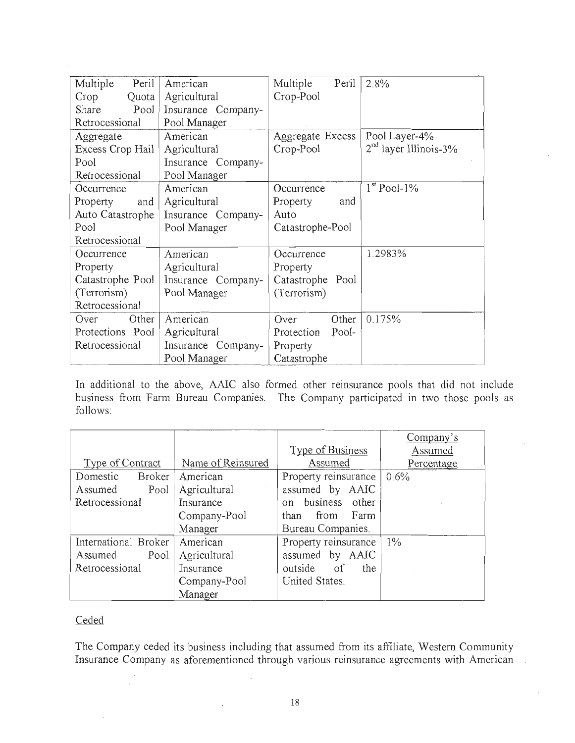| Multiple<br>Peril<br>Crop<br>Quota | American<br>Agricultural | Multiple<br>Peril<br>Crop-Pool | 2.8%                    |
|------------------------------------|--------------------------|--------------------------------|-------------------------|
| Pool<br>Share                      | Insurance Company-       |                                |                         |
| Retrocessional                     | Pool Manager             |                                |                         |
| Aggregate                          | American                 | Aggregate Excess               | Pool Layer-4%           |
| Excess Crop Hail                   | Agricultural             | Crop-Pool                      | $2nd$ layer Illinois-3% |
| Pool                               | Insurance Company-       |                                |                         |
| Retrocessional                     | Pool Manager             |                                |                         |
| Occurrence                         | American                 | Occurrence                     | $1st$ Pool-1%           |
| Property<br>and                    | Agricultural             | Property<br>and                |                         |
| Auto Catastrophe                   | Insurance Company-       | Auto                           |                         |
| Pool                               | Pool Manager             | Catastrophe-Pool               |                         |
| Retrocessional                     |                          |                                |                         |
| Occurrence                         | American                 | Occurrence                     | 1.2983%                 |
| Property                           | Agricultural             | Property                       |                         |
| Catastrophe Pool                   | Insurance Company-       | Catastrophe Pool               |                         |
| (Terrorism)                        | Pool Manager             | (Terrorism)                    |                         |
| Retrocessional                     |                          |                                |                         |
| Other<br>Over                      | American                 | Other<br>Over                  | 0.175%                  |
| Protections Pool                   | Agricultural             | Pool-<br>Protection            |                         |
| Retrocessional                     | Insurance Company-       | Property                       |                         |
|                                    | Pool Manager             | Catastrophe                    |                         |

In additional to the above, AAIC also formed other reinsurance pools that did not include business from Farm Bureau Companies. The Company participated in two those pools as follows:

|                           |                   |                              | Company's  |
|---------------------------|-------------------|------------------------------|------------|
|                           |                   | Type of Business             | Assumed    |
| Type of Contract          | Name of Reinsured | Assumed                      | Percentage |
| <b>Broker</b><br>Domestic | American          | Property reinsurance         | $0.6\%$    |
| Assumed<br>Pool           | Agricultural      | assumed by AAIC              |            |
| Retrocessional            | Insurance         | business other<br>$\alpha$ n |            |
|                           | Company-Pool      | – Farm<br>than from          |            |
|                           | Manager           | Bureau Companies.            |            |
| International Broker      | American          | Property reinsurance         | $1\%$      |
| Pool<br>Assumed           | Agricultural      | assumed by AAIC              |            |
| Retrocessional            | Insurance         | outside of<br>the            |            |
|                           | Company-Pool      | United States.               |            |
|                           | Manager           |                              |            |

## Ceded

The Company ceded its business including that assumed from its affiliate, Western Community Insurance Company as aforementioned through various reinsurance agreements with American

 $\mathcal{L}_{\text{eff}}$ 

 $\mathcal{A}$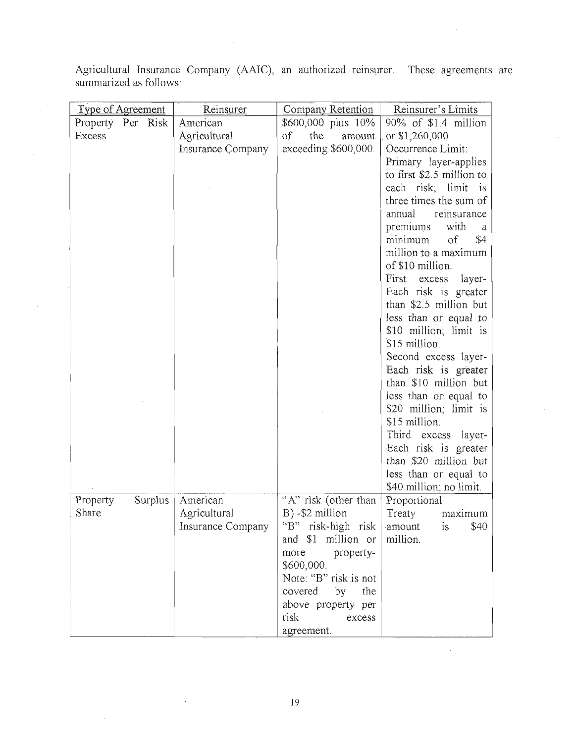Agricultural Insurance Company (AAIC), an authorized reinsurer. These agreements are summarized as follows:

| <b>Type of Agreement</b> | Reinsurer                | <b>Company Retention</b>  | Reinsurer's Limits              |
|--------------------------|--------------------------|---------------------------|---------------------------------|
| Property Per Risk        | American                 | \$600,000 plus 10%        | 90% of \$1.4 million            |
| Excess                   | Agricultural             | $\sigma$<br>the<br>amount | or \$1,260,000                  |
|                          | Insurance Company        | exceeding \$600,000.      | Occurrence Limit:               |
|                          |                          |                           | Primary layer-applies           |
|                          |                          |                           | to first \$2.5 million to       |
|                          |                          |                           | each risk; limit<br>is          |
|                          |                          |                           | three times the sum of          |
|                          |                          |                           | reinsurance<br>annual           |
|                          |                          |                           | premiums<br>with<br>a           |
|                          |                          |                           | $\mathrm{of}$<br>\$4<br>minimum |
|                          |                          |                           | million to a maximum            |
|                          |                          |                           | of \$10 million.                |
|                          |                          |                           | First<br>excess<br>layer-       |
|                          |                          |                           | Each risk is greater            |
|                          |                          |                           | than \$2.5 million but          |
|                          |                          |                           | less than or equal to           |
|                          |                          |                           | \$10 million; limit is          |
|                          |                          |                           | \$15 million.                   |
|                          |                          |                           | Second excess layer-            |
|                          |                          |                           | Each risk is greater            |
|                          |                          |                           | than \$10 million but           |
|                          |                          |                           | less than or equal to           |
|                          |                          |                           | \$20 million; limit is          |
|                          |                          |                           | \$15 million.                   |
|                          |                          |                           | Third<br>excess layer-          |
|                          |                          |                           | Each risk is greater            |
|                          |                          |                           | than \$20 million but           |
|                          |                          |                           | less than or equal to           |
|                          |                          |                           | \$40 million, no limit.         |
| Property<br>Surplus      | American                 | "A" risk (other than      | Proportional                    |
| Share                    | Agricultural             | B) -\$2 million           | Treaty<br>maximum               |
|                          | <b>Insurance Company</b> | "B" risk-high risk        | \$40<br>amount<br>is            |
|                          |                          | and \$1 million or        | million.                        |
|                          |                          | more<br>property-         |                                 |
|                          |                          | \$600,000.                |                                 |
|                          |                          | Note: "B" risk is not     |                                 |
|                          |                          | covered<br>by<br>the      |                                 |
|                          |                          | above property per        |                                 |
|                          |                          | risk<br>excess            |                                 |
|                          |                          | agreement.                |                                 |

 $\sim$ 

 $\bar{z}$ 

 $\sim$ 

 $\hat{\mathbf{v}}$ 

 $\sim 10^{-10}$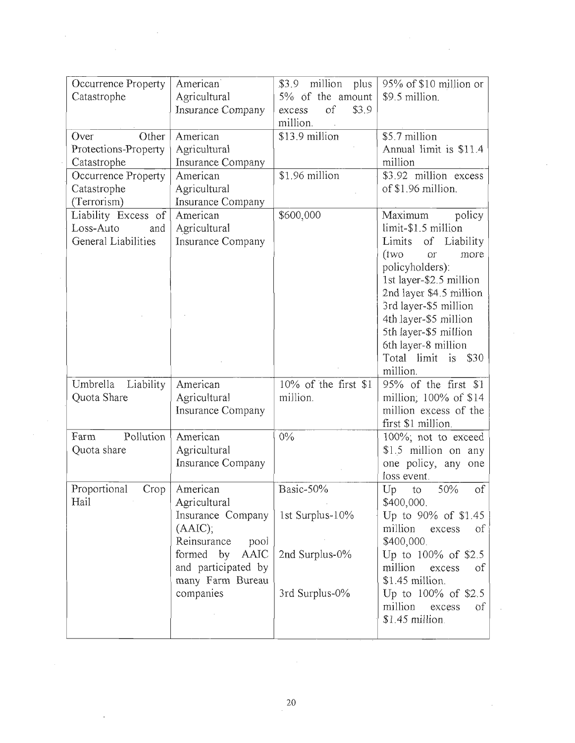| Occurrence Property<br>Catastrophe                             | American<br>Agricultural<br>Insurance Company                                                                                                                | \$3.9<br>million<br>plus<br>5% of the amount<br>of<br>\$3.9<br>excess<br>million. | 95% of \$10 million or<br>\$9.5 million.                                                                                                                                                                                                                                                                  |  |  |
|----------------------------------------------------------------|--------------------------------------------------------------------------------------------------------------------------------------------------------------|-----------------------------------------------------------------------------------|-----------------------------------------------------------------------------------------------------------------------------------------------------------------------------------------------------------------------------------------------------------------------------------------------------------|--|--|
| Over<br>Other<br>Protections-Property<br>Catastrophe           | American<br>Agricultural<br>Insurance Company                                                                                                                | $$13.9$ million<br>$$1.96$ million                                                | \$5.7 million<br>Annual limit is \$11.4<br>million<br>\$3.92 million excess                                                                                                                                                                                                                               |  |  |
| Occurrence Property<br>Catastrophe<br>(Terrorism)              | American<br>Agricultural<br>Insurance Company                                                                                                                |                                                                                   | of \$1.96 million.                                                                                                                                                                                                                                                                                        |  |  |
| Liability Excess of<br>Loss-Auto<br>and<br>General Liabilities | American<br>Agricultural<br><b>Insurance Company</b>                                                                                                         | \$600,000                                                                         | Maximum<br>policy<br>limit-\$1.5 million<br>Limits of Liability<br>(tw0)<br>O(1)<br>more<br>policyholders):<br>1st layer-\$2.5 million<br>2nd layer \$4.5 million<br>3rd layer-\$5 million<br>4th layer-\$5 million<br>5th layer-\$5 million<br>6th layer-8 million<br>Total limit is<br>\$30<br>million. |  |  |
| Umbrella<br>Liability<br>Quota Share                           | American<br>Agricultural<br><b>Insurance Company</b>                                                                                                         | 10% of the first \$1<br>million.                                                  | 95% of the first \$1<br>million; 100% of \$14<br>million excess of the<br>first \$1 million.                                                                                                                                                                                                              |  |  |
| Pollution<br>Farm<br>Quota share                               | American<br>Agricultural<br>Insurance Company                                                                                                                | $0\%$                                                                             | $100\%$ ; not to exceed<br>\$1.5 million on any<br>one policy, any one<br>loss event.                                                                                                                                                                                                                     |  |  |
| Proportional<br>Crop<br>Hail                                   | American<br>Agricultural<br>Insurance Company<br>(AAIC),<br>Reinsurance<br>pool<br>formed by<br>AAIC<br>and participated by<br>many Farm Bureau<br>companies | Basic-50%<br>1st Surplus-10%<br>2nd Surplus-0%<br>3rd Surplus-0%                  | 50%<br>Up<br><sub>of</sub><br>to<br>\$400,000.<br>Up to 90% of \$1.45<br>million<br>excess<br><sub>of</sub><br>\$400,000.<br>Up to 100% of \$2.5<br>million<br>excess<br>οf<br>\$1.45 million.<br>Up to 100% of \$2.5<br>million<br>excess<br>of<br>\$1.45 million.                                       |  |  |

 $\ddot{\phantom{0}}$ 

 $\bar{z}$ 

 $\sim 10$ 

 $\hat{\mathcal{A}}$ 

 $\mathcal{A}$ 

 $\bar{z}$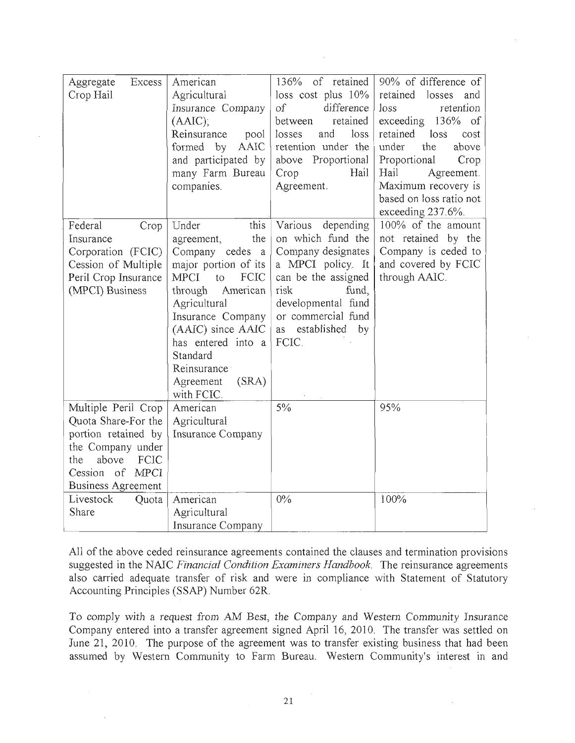| Excess<br>Aggregate<br>Crop Hail | American<br>Agricultural<br>Insurance Company<br>(AAIC);<br>Reinsurance<br>pool<br><b>AAIC</b><br>formed<br>by<br>and participated by<br>many Farm Bureau<br>companies. | 136% of retained<br>loss cost plus $10\%$<br>of<br>difference<br>retained<br>between<br>loss<br>losses<br>and<br>retention under the<br>above Proportional<br>Crop<br>Hail<br>Agreement. | 90% of difference of<br>retained<br>losses<br>and<br>retention<br>loss<br>$136%$ of<br>exceeding<br>retained<br>loss<br>cost<br>under<br>the<br>above<br>Proportional<br>Crop<br>Hail<br>Agreement.<br>Maximum recovery is<br>based on loss ratio not<br>exceeding 237.6%. |
|----------------------------------|-------------------------------------------------------------------------------------------------------------------------------------------------------------------------|------------------------------------------------------------------------------------------------------------------------------------------------------------------------------------------|----------------------------------------------------------------------------------------------------------------------------------------------------------------------------------------------------------------------------------------------------------------------------|
| Federal<br>Crop                  | Under<br>this                                                                                                                                                           | Various<br>depending                                                                                                                                                                     | 100% of the amount                                                                                                                                                                                                                                                         |
| Insurance                        | the<br>agreement,                                                                                                                                                       | on which fund the                                                                                                                                                                        | not retained by the                                                                                                                                                                                                                                                        |
| Corporation (FCIC)               | Company cedes a                                                                                                                                                         | Company designates                                                                                                                                                                       | Company is ceded to                                                                                                                                                                                                                                                        |
| Cession of Multiple              | major portion of its                                                                                                                                                    | a MPCI policy. It                                                                                                                                                                        | and covered by FCIC                                                                                                                                                                                                                                                        |
| Peril Crop Insurance             | MPCI<br>FCIC<br>to                                                                                                                                                      | can be the assigned                                                                                                                                                                      | through AAIC.                                                                                                                                                                                                                                                              |
| (MPCI) Business                  | American<br>through                                                                                                                                                     | risk<br>fund,                                                                                                                                                                            |                                                                                                                                                                                                                                                                            |
|                                  | Agricultural                                                                                                                                                            | developmental fund                                                                                                                                                                       |                                                                                                                                                                                                                                                                            |
|                                  | Insurance Company                                                                                                                                                       | or commercial fund                                                                                                                                                                       |                                                                                                                                                                                                                                                                            |
|                                  | (AAIC) since AAIC                                                                                                                                                       | established<br>by<br>as<br>FCIC.                                                                                                                                                         |                                                                                                                                                                                                                                                                            |
|                                  | has entered into a<br>Standard                                                                                                                                          |                                                                                                                                                                                          |                                                                                                                                                                                                                                                                            |
|                                  | Reinsurance                                                                                                                                                             |                                                                                                                                                                                          |                                                                                                                                                                                                                                                                            |
|                                  | Agreement<br>(SRA)                                                                                                                                                      |                                                                                                                                                                                          |                                                                                                                                                                                                                                                                            |
|                                  | with FCIC.                                                                                                                                                              |                                                                                                                                                                                          |                                                                                                                                                                                                                                                                            |
| Multiple Peril Crop              | American                                                                                                                                                                | 5%                                                                                                                                                                                       | 95%                                                                                                                                                                                                                                                                        |
| Quota Share-For the              | Agricultural                                                                                                                                                            |                                                                                                                                                                                          |                                                                                                                                                                                                                                                                            |
| portion retained by              | Insurance Company                                                                                                                                                       |                                                                                                                                                                                          |                                                                                                                                                                                                                                                                            |
| the Company under                |                                                                                                                                                                         |                                                                                                                                                                                          |                                                                                                                                                                                                                                                                            |
| above<br>FCIC<br>the             |                                                                                                                                                                         |                                                                                                                                                                                          |                                                                                                                                                                                                                                                                            |
| Cession of MPCI                  |                                                                                                                                                                         |                                                                                                                                                                                          |                                                                                                                                                                                                                                                                            |
| <b>Business Agreement</b>        |                                                                                                                                                                         |                                                                                                                                                                                          |                                                                                                                                                                                                                                                                            |
| Livestock<br>Quota               | American                                                                                                                                                                | $0\%$                                                                                                                                                                                    | 100%                                                                                                                                                                                                                                                                       |
| Share                            | Agricultural                                                                                                                                                            |                                                                                                                                                                                          |                                                                                                                                                                                                                                                                            |
|                                  | Insurance Company                                                                                                                                                       |                                                                                                                                                                                          |                                                                                                                                                                                                                                                                            |

All of the above ceded reinsurance agreements contained the clauses and termination provisions suggested in the NAIC *Financial Condition Examiners Handbook.* The reinsurance agreements also carried adequate transfer of risk and were in compliance with Statement of Statutory Accounting Principles (SSAP) Number 62R.

To comply with a request from AM Best, the Company and Western Community Insurance Company entered into a transfer agreement signed April 16, 2010. The transfer was settled on June 21, 2010, The purpose of the agreement was to transfer existing business that had been assumed by Western Community to Farm Bureau. Western Community's interest in and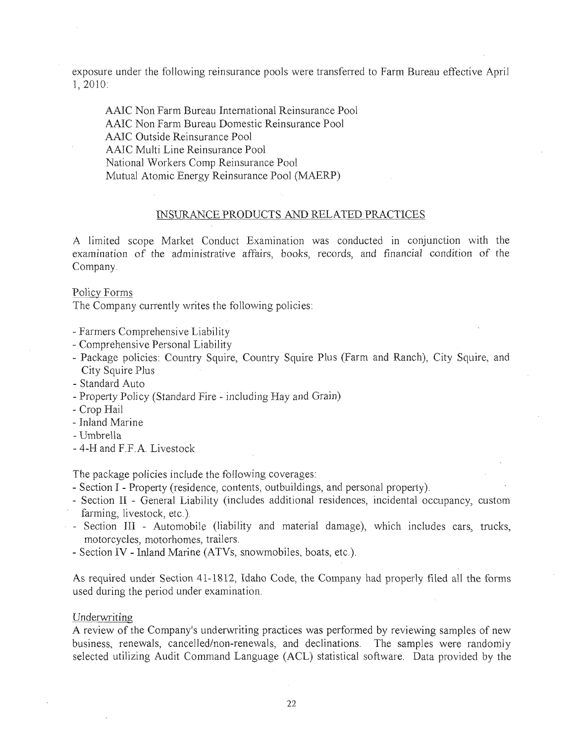exposure under the following reinsurance pools were transferred to Farm Bureau effective April 1,2010:

AAIC Non Farm Bureau International Reinsurance Pool AAIC Non Farm Bureau Domestic Reinsurance Pool AAIC Outside Reinsurance Pool AAIC Multi Line Reinsurance Pool National Workers Comp Reinsurance Pool Mutual Atomic Energy Reinsurance Pool (MAERP)

## INSURANCE PRODUCTS AND RELATED PRACTICES

A limited scope Market Conduct Examination was conducted in conjunction with the examination of the administrative affairs, books, records, and financial condition of the Company.

#### Policy Forms

The Company currently writes the following policies:

- Farmers Comprehensive Liability
- Comprehensive Personal Liability
- Package policies: Country Squire, Country Squire Plus (Farm and Ranch), City Squire, and City Squire Plus
- Standard Auto
- Property Polley (Standard Fire including Hay and Grain)
- Crop Hail
- Inland Marine
- Umbrella
- 4-H and F.F.A. Livestock

The package policies include the folIowing coverages:

- Section I Property (residence, contents, outbuildings, and personal property).
- Section II General Liability (includes additional residences, incidental occupancy, custom farming, livestock, etc.).
- Section III Automobile (liability and material damage), which includes cars, trucks, motorcycles, motorhomes, trailers.
- Section IV Inland Marine (ATVs, snowmobiles, boats, etc.).

As required under Section 41-1812, Idaho Code, the Company had properly filed all the forms used during the period under examination.

#### Underwriting

A review of the Company's underwriting practices was performed by reviewing samples of new business, renewals, cancelled/non-renewals, and declinations. The samples were randomly selected utilizing Audit Command Language (ACL) statistical software. Data provided by the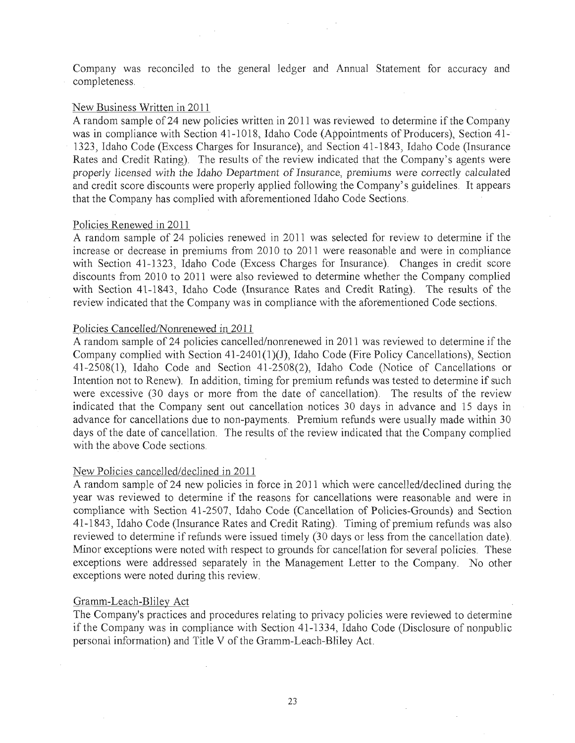Company was reconciled to the general ledger and Annual Statement for accuracy and completeness.

#### New Business Written in 2011

A random sample of24 new policies written in 2011 was reviewed to determine if the Company was in compliance with Section 41-1018, Idaho Code (Appointments of Producers), Section 41-1323, Idaho Code (Excess Charges for Insurance), and Section 41-1843, Idaho Code (Insurance Rates and Credit Rating). The results of the review indicated that the Company's agents were properly licensed with the Idaho Department of Insurance, premiums were correctly calculated and credit score discounts were properly applied following the Company's guidelines. It appears that the Company has complied with aforementioned Idaho Code Sections.

#### Policies Renewed in 2011

A random sample of 24 policies renewed in 2011 was selected for review to determine if the increase or decrease in premiums from 2010 to 2011 were reasonable and were in compliance with Section 41-1323, Idaho Code (Excess Charges for Insurance). Changes in credit score discounts from 2010 to 2011 were also reviewed to determine whether the Company complied with Section 41-1843, Idaho Code (Insurance Rates and Credit Rating). The results of the review indicated that the Company was in compliance with the aforementioned Code sections.

## Policies Cancelled/Nonrenewed in 2011

A random sample of24 policies cancelled/nonrenewed in 2011 was reviewed to determine if the Company complied with Section  $41-2401(1)(J)$ , Idaho Code (Fire Policy Cancellations), Section 41-2508(1), Idaho Code and Section 41-2508(2), Idaho Code (Notice of Cancellations Or Intention not to Renew). In addition, timing for premium refunds was tested to determine if such were excessive (30 days or more from the date of cancellation). The results of the review indicated that the Company sent out cancellation notices 30 days in advance and 15 days in advance for cancellations due to non-payments. Premium refunds were usually made within 30 days of the date of cancellation. The results of the review indicated that the Company complied with the above Code sections.

#### New Policies cancelled/declined in 2011

A random sample of 24 new policies in force in 2011 which were cancelled/declined during the year was reviewed to determine if the reasons for cancellations were reasonable and were in compliance with Section 41-2507, Idaho Code (Cancellation of Policies-Grounds) and Section 41·1843, Idaho Code (Insurance Rates and Credit Rating). Timing of premium refunds was also reviewed to determine if refunds were issued timely (30 days or less from the cancellation date). Minor exceptions were noted with respect to grounds for cancellation for several policies. These exceptions were addressed separately in the Management Letter to the Company. No other exceptions were noted during this review.

#### Gramm-Leach-Bliley Act

The Company's practices and procedures relating to privacy policies were reviewed to determine if the Company was in compliance with Section 41-1334, Idaho Code (Disclosure of nonpublic personal information) and Title V of the Gramm-Leach-Bliley Act.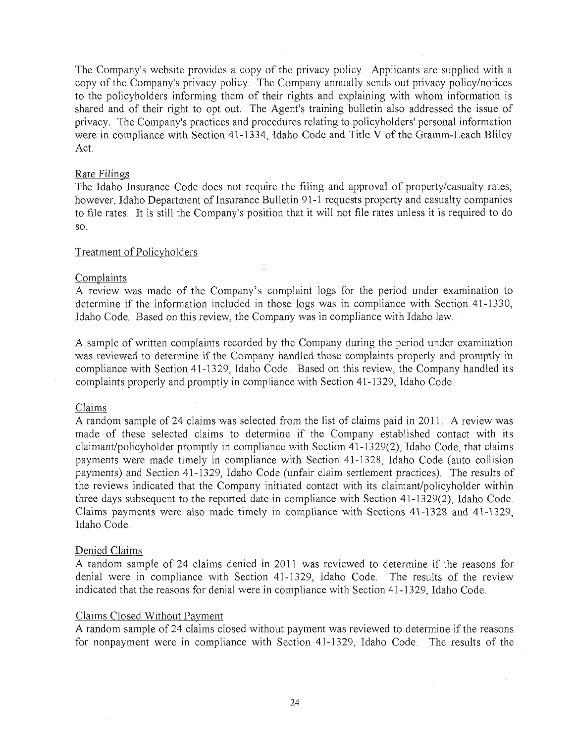The Company's website provides a copy of the privacy policy. Applicants are supplied with a copy of the Company's privacy policy. The Company annually sends out privacy policy/notices to the policyholders informing them of their rights and explaining with whom information is shared and of their right to opt out. The Agent's training bulletin also addressed the issue of privacy. The Company's practices and procedures relating to policyholders' personal information were in compliance with Section 41-1334, Idaho Code and Title V of the Gramm-Leach Bliley Act.

#### Rate Filings

The Idaho Insurance Code does not require the filing and approval of property/casualty rates; however, Idaho Department of Insurance Bulletin 91-1 requests property and casualty companies to file rates. It is still the Company's position that it will not file rates unless it is required to do so.

### Treatment of Policyholders

#### Complaints

A review was made of the Company's complaint logs for the period under examination to determine if the information included in those logs was in compliance with Section 41-1330, Idaho Code. Based on this review, the Company was in compliance with Idaho law.

A sample of written complaints recorded by the Company during the period under examination was reviewed to determine if the Company handled those complaints properly and promptly in compliance with Section 41-1329, Idaho Code. Based on this review, the Company handled its complaints properly and promptly in compliance with Section 41-1329, Idaho Code.

#### Claims

A random sample of 24 claims was selected from the list of claims paid in 2011. A review was made of these selected claims to determine if the Company established contact with its claimant/policyholder promptly in compliance with Section 41-l329(2), Idaho Code, that claims payments were made timely in compliance with Section 41-1328, Idaho Code (auto collision payments) and Section 41-1329, Idaho Code (unfair claim settlement practices). The results of the reviews indicated that the Company initiated contact with its claimant/policyholder within three days subsequent to the reported date in compliance with Section 41-1329(2), Idaho Code. Claims payments were also made timely in compliance with Sections 41-1328 and 41-1329, Idaho Code.

#### Denied Claims

A random sample of 24 claims denied in 2011 was reviewed to determine if the reasons for denial were in compliance with Section 41-1329, Idaho Code. The results of the review indicated that the reasons for denial were in compliance with Section 41-1329, Idaho Code.

#### Claims Closed Without Payment

A random sample of 24 claims closed without payment was reviewed to determine if the reasons for nonpayment were in compliance with Section 41-13 29, Idaho Code. The results of the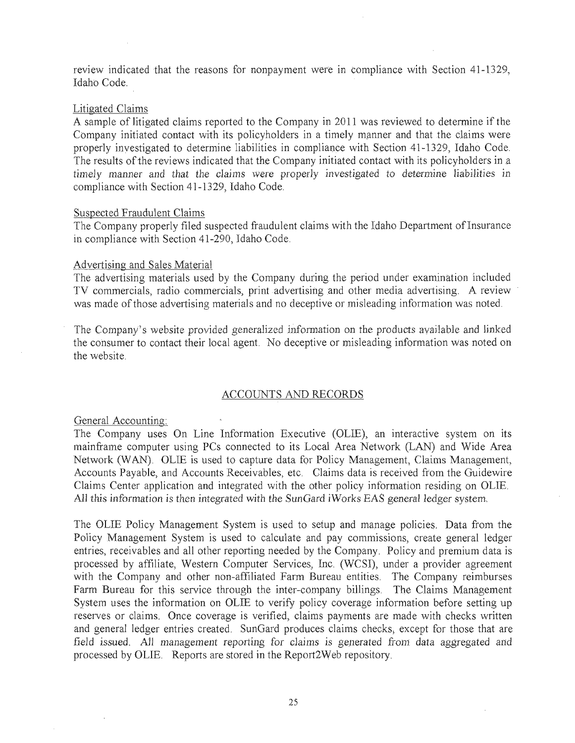review indicated that the reasons for nonpayment were in compliance with Section 41-1329, Idaho Code.

#### Litigated Claims

A sample of litigated claims reported to the Company in 2011 was reviewed to determine if the Company initiated contact with its policyholders in a timely manner and that the claims were properly investigated to determine liabilities in compliance with Section 41-1329, Idaho Code. The results of the reviews indicated that the Company initiated contact with its policyholders in a *timely* manner and that the claims were properly investigated to determine liabilities *in*  compliance with Section 41-13 29, Idaho Code.

#### Suspected Fraudulent Claims

The Company properly filed suspected fraudulent claims with the Idaho Department of Insurance in compliance with Section 41 -290, Idaho Code.

#### Advertising and Sales Material

The advertising materials used by the Company during the period under examination included TV commercials, radio commercials, print advertising and other media advertising. A review was made of those advertising materials and no deceptive or misleading information was noted.

The Company's website provided generalized information on the products available and linked the consumer to contact their local agent. No deceptive or misleading information was noted on the website.

## ACCOUNTS AND RECORDS

General Accounting:

The Company uses On Line Information Executive (OLIE), an interactive system on its mainframe computer using PCs connected to its Local Area Network (LAN) and Wide Area Network (WAN). OLIE is used to capture data for Policy Management, Claims Management, Accounts Payable, and Accounts Receivables, etc. Claims data is received from the Guidewire Claims Center application and integrated with the other policy information residing on OLIB. All this information is then *integrated* with the SunGard iWorks EAS general ledger system..

The OLIE Policy Management System is used to setup and manage policies. Data from the Policy Management System is used to calculate and pay commissions, create general ledger entries, receivables and all other reporting needed by the Company. Policy and premium data is processed by affiliate, Western Computer Services, Inc. (WCSI), under a provider agreement with the Company and other non-affiliated Farm Bureau entities. The Company reimburses Farm Bureau for this service through the inter-company billings. The Claims Management System uses the information on OLIE to verify policy coverage information before setting up reserves or claims, Once coverage is verified, claims payments are made with checks written and general ledger entries created. SunGard produces claims checks; except for those that are field issued. All management reporting for claims is generated from data aggregated and processed by OLIE. Reports are stored in the Report2Web repository,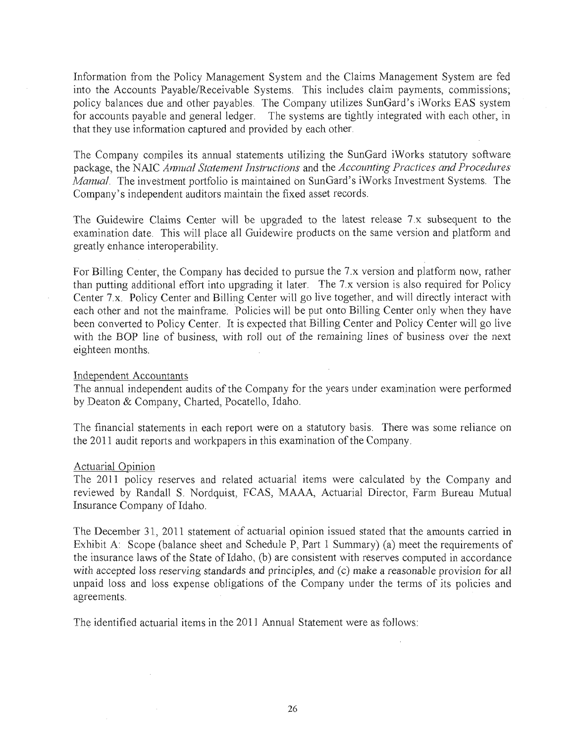Information from the Policy Management System and the Claims Management System are fed into the Accounts Payable/Receivable Systems. This includes claim payments, commissions; policy balances due and other payables. The Company utilizes SunGard's iWorks EAS system for accounts payable and general ledger. The systems are tightly integrated with each other, in that they use information captured and provided by each other.

The Company compiles its annual statements utilizing the SunGard iWorks statutory sofuvare package) the NAIC *Annual Statement Instructions* and the *Accounting Practices and Procedures Manual*. The investment portfolio is maintained on SunGard's iWorks Investment Systems. The Company's independent auditors maintain the fixed asset records.

The Guidewire Claims Center will be upgraded to the latest release 7.x subsequent to the examination date. This will place all Guidewire products on the same version and platform and greatly enhance interoperability .

. For Billing Center, the Company has decided to pursue the 7.x version and platform now, rather than putting additional effort into upgrading it later. The 7.x version is also required for Policy Center 7.x. Policy Center and Billing Center will go live together, and will directly interact with each other and not the mainframe. Policies will be put onto Billing Center only when they have been converted to Policy Center. It is expected that Billing Center and Policy Center will go live with the BOP line of business, with roll out of the remaining lines of business over the next eighteen months.

#### Independent Accountants

The annual independent audits of the Company for the years under examination were performed by Deaton & Company, Charted, Pocatello, Idaho.

The financial statements in each report were on a statutory basis. There was some reliance on the 2011 audit reports and workpapers in this examination of the Company.

#### Actuarial Opinion

The 2011 policy reserves and related actuarial items were calculated by the Company and reviewed by Randall S. Nordquist, FCAS, MAAA, Actuarial Director, Farm Bureau Mutual Insurance Company of Idaho.

The December 31, 2011 statement of actuarial opinion issued stated that the amounts carried in Exhibit A: Scope (balance sheet and Schedule P, Part 1 Summary) (a) meet the requirements of the insurance laws of the State of Idaho, (b) are consistent with reserves computed in accordance with accepted loss reserving standards and principles, and (c) make a reasonable provision for all unpaid loss and loss expense obligations of the Company under the terms of its policies and agreements.

The identified actuarial items in the 2011 Annual Statement were as foJlows: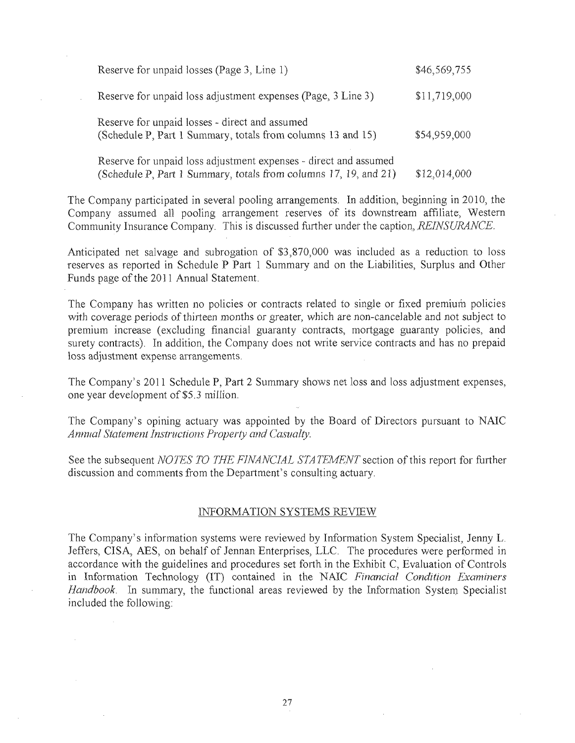| Reserve for unpaid losses (Page 3, Line 1)                                                                                           | \$46,569,755 |
|--------------------------------------------------------------------------------------------------------------------------------------|--------------|
| Reserve for unpaid loss adjustment expenses (Page, 3 Line 3)                                                                         | \$11,719,000 |
| Reserve for unpaid losses - direct and assumed<br>(Schedule P, Part 1 Summary, totals from columns 13 and 15)                        | \$54,959,000 |
| Reserve for unpaid loss adjustment expenses - direct and assumed<br>(Schedule P, Part 1 Summary, totals from columns 17, 19, and 21) | \$12,014,000 |

The Company participated in several pooling arrangements. In addition, beginning in 2010, the Company assumed all pooling arrangement reserves of its downstream affiliate, Western Community Insurance Company. This is discussed further under the caption, REINSURANCE.

Anticipated net salvage and subrogation of \$3,870,000 was included as a reduction to loss reserves as reported in Schedule P Part 1 Summary and on the Liabilities, Surplus and Other Funds page of the 2011 Annual Statement.

The Company has written no policies or contracts related to single or fixed premium policies with coverage periods of thirteen months or greater, which are non-cancelable and not subject to premium increase (excluding financial guaranty contracts, mortgage guaranty policies, and surety contracts). In addition, the Company does not write service contracts and has no prepaid loss adjustment expense arrangements.

The Company's 2011 Schedule P, Part 2 Summary shows net loss and loss adjustment expenses, one year development of \$5.3 million.

The Company's opining actuary was appointed by the Board of Directors pursuant to NAIC *Annual Statement Instructions Property and Casualty.* 

See the subsequent *NOTES TO THE FINANCIAL STATEMENT* section of this report for further discussion and comments from the Department's consulting actuary.

#### INFORMATION SYSTEMS REVIEW

The Company's information systems were reviewed by Information System Specialist, Jenny L. Jeffers, CISA, AES, on behalf of Jennan Enterprises, LLC. The procedures were performed in accordance with the guidelines and procedures set forth in the Exhibit C, Evaluation of Controls in Information Technology (IT) contained in the NAIC *Financial Condition Examiners Handbook*. In summary, the functional areas reviewed by the Information System Specialist included the following: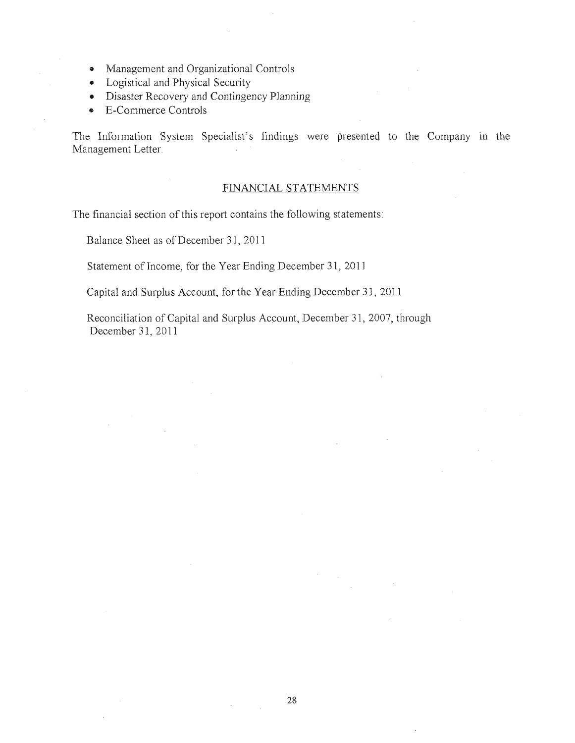- o Management and Organizational Controls
- Logistical and Physical Security
- Disaster Recovery and Contingency Planning
- E-Commerce Controls

The Information System Specialist's findings were presented to the Company in the Management Letter.

#### FINANCIAL STATEMENTS

The financial section of this report contains the following statements:

Balance Sheet as of December 31, 2011

Statement of Income, for the Year Ending December 3 1, 2011

Capital and Surplus Account, for the Year Ending December 31, 2011

Reconciliation of Capital and Surplus Account, December 31, 2007, through December 31, 2011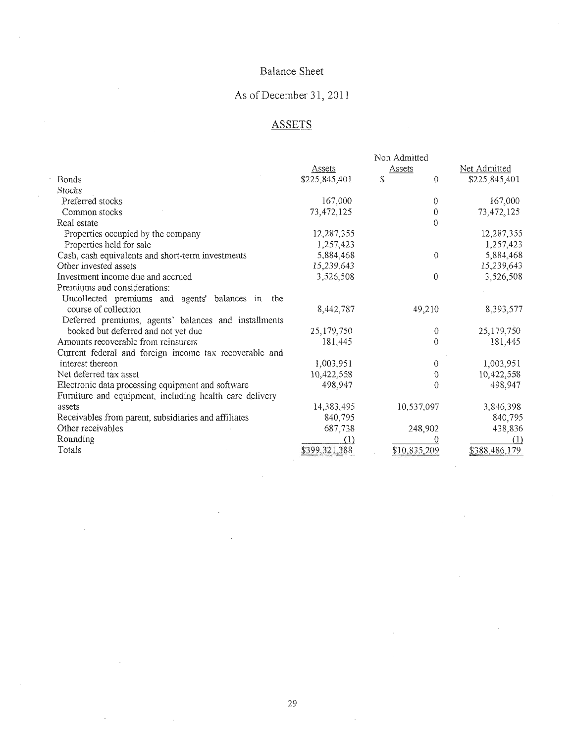## Balance Sheet

# As of December 31,2011

## **ASSETS**

 $\bar{A}$ 

 $\bar{\beta}$ 

 $\sim$ 

l,

 $\hat{\mathcal{L}}$ 

 $\ddot{\phantom{a}}$ 

|                                                         | Non Admitted  |                |                      |  |  |
|---------------------------------------------------------|---------------|----------------|----------------------|--|--|
|                                                         | Assets        | Assets         | Net Admitted         |  |  |
| Bonds                                                   | \$225,845,401 | \$<br>$\theta$ | \$225,845,401        |  |  |
| <b>Stocks</b>                                           |               |                |                      |  |  |
| Preferred stocks                                        | 167,000       | 0              | 167,000              |  |  |
| Common stocks                                           | 73,472,125    | 0              | 73,472,125           |  |  |
| Real estate                                             |               | $\Omega$       |                      |  |  |
| Properties occupied by the company                      | 12,287,355    |                | 12,287,355           |  |  |
| Properties held for sale                                | 1,257,423     |                | 1,257,423            |  |  |
| Cash, cash equivalents and short-term investments       | 5,884,468     | $\theta$       | 5,884,468            |  |  |
| Other invested assets                                   | 15,239,643    |                | 15,239,643           |  |  |
| Investment income due and accrued                       | 3,526,508     | $\mathbf{0}$   | 3,526,508            |  |  |
| Premiums and considerations:                            |               |                |                      |  |  |
| Uncollected premiums and agents' balances in<br>the     |               |                |                      |  |  |
| course of collection                                    | 8,442,787     | 49,210         | 8,393,577            |  |  |
| Deferred premiums, agents' balances and installments    |               |                |                      |  |  |
| booked but deferred and not yet due                     | 25,179,750    |                | 25,179,750<br>0      |  |  |
| Amounts recoverable from reinsurers                     | 181.445       | $\theta$       | 181,445              |  |  |
| Current federal and foreign income tax recoverable and  |               |                |                      |  |  |
| interest thereon                                        | 1,003,951     | $\theta$       | 1,003,951            |  |  |
| Net deferred tax asset                                  | 10,422,558    |                | 10,422,558<br>$^{0}$ |  |  |
| Electronic data processing equipment and software       | 498,947       | 0              | 498,947              |  |  |
| Furniture and equipment, including health care delivery |               |                |                      |  |  |
| assets                                                  | 14,383,495    | 10,537,097     | 3,846,398            |  |  |
| Receivables from parent, subsidiaries and affiliates    | 840,795       |                | 840,795              |  |  |
| Other receivables                                       | 687,738       | 248,902        | 438,836              |  |  |
| Rounding                                                | (1)           |                | (1)                  |  |  |
| Totals                                                  | \$399,321,388 | \$10,835,209   | \$388.486,179        |  |  |

 $\bar{z}$ 

 $\mathcal{L}^{\mathcal{L}}$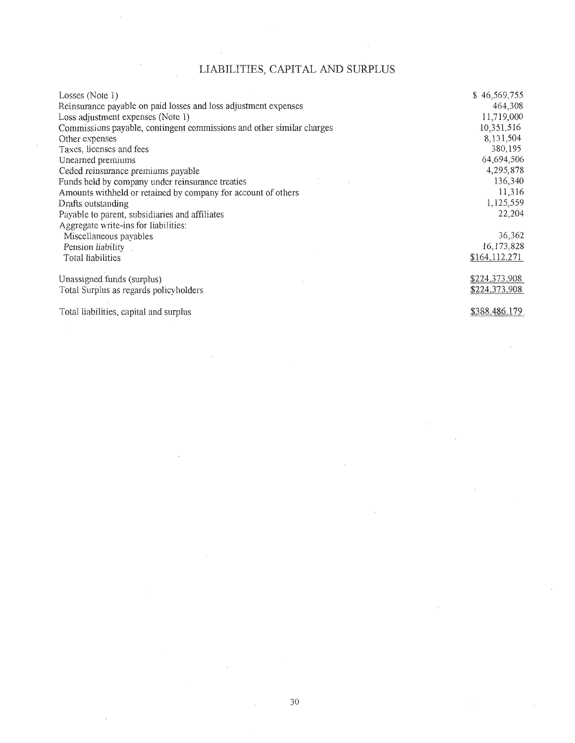## LIABILITIES, CAPITAL AND SURPLUS

| Losses (Note 1)                                                       | \$46,569,755      |
|-----------------------------------------------------------------------|-------------------|
| Reinsurance payable on paid losses and loss adjustment expenses       | 464,308           |
| Loss adjustment expenses (Note 1)                                     | 11,719,000        |
| Commissions payable, contingent commissions and other similar charges | 10,351,516        |
| Other expenses                                                        | 8.131.504         |
| Taxes, licenses and fees                                              | 380,195           |
| Unearned premiums                                                     | 64,694,506        |
| Ceded reinsurance premiums payable                                    | 4,295,878         |
| Funds held by company under reinsurance treaties                      | 136,340           |
| Amounts withheld or retained by company for account of others         | 11,316            |
| Drafts outstanding                                                    | 1,125,559         |
| Payable to parent, subsidiaries and affiliates                        | 22,204            |
| Aggregate write-ins for liabilities:                                  |                   |
| Miscellaneous payables                                                | 36,362            |
| Pension liability                                                     | 16,173,828        |
| Total liabilities                                                     | \$164,112,271     |
| Unassigned funds (surplus)                                            | \$224,373,908     |
| Total Surplus as regards policyholders                                | \$224,373,908     |
|                                                                       | $0.200 \pm 0.720$ |

Total liabilities, capital and surplus

\$388,486,179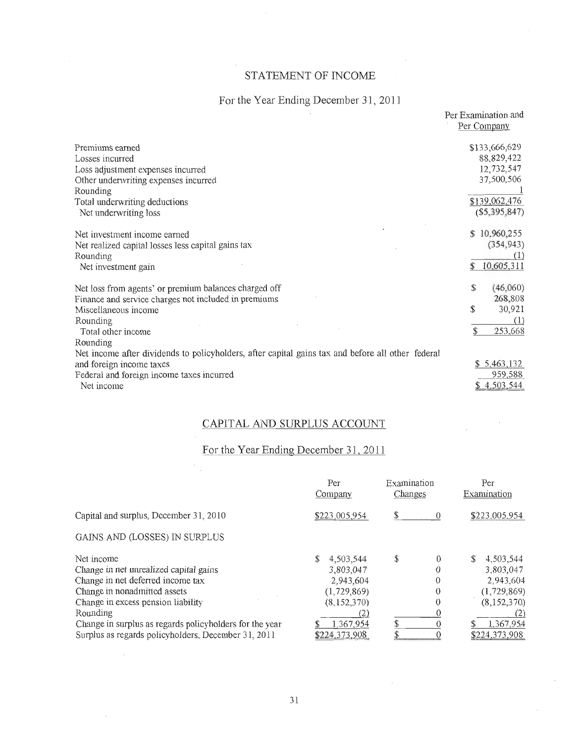## STATEMENT OF INCQME

# For the Year Ending December 31, 2011

|                                                                                                   | Per Examination and<br>Per Company |
|---------------------------------------------------------------------------------------------------|------------------------------------|
| Premiums earned                                                                                   | \$133,666,629                      |
| Losses incurred                                                                                   | 88,829,422                         |
| Loss adjustment expenses incurred                                                                 | 12,732,547                         |
| Other underwriting expenses incurred                                                              | 37,500,506                         |
| Rounding                                                                                          |                                    |
| Total underwriting deductions                                                                     | \$139,062,476                      |
| Net underwriting loss                                                                             | $(\$5,395,847)$                    |
| Net investment income earned                                                                      | 10,960,255<br>\$                   |
| Net realized capital losses less capital gains tax                                                | (354, 943)                         |
| Rounding                                                                                          | (1)                                |
| Net investment gain                                                                               | 10,605,311                         |
| Net loss from agents' or premium balances charged off                                             | \$<br>(46,060)                     |
| Finance and service charges not included in premiums                                              | 268,808                            |
| Miscellaneous income                                                                              | \$<br>30,921                       |
| Rounding                                                                                          | (1)                                |
| Total other income                                                                                | 253,668<br>\$                      |
| Rounding                                                                                          |                                    |
| Net income after dividends to policyholders, after capital gains tax and before all other federal |                                    |
| and foreign income taxes                                                                          | \$5,463,132                        |
| Federal and foreign income taxes incurred                                                         | 959,588                            |
| Net income                                                                                        | \$4,503,544                        |

## CAPITAL AND SURPLUS ACCOUNT

## For the Year Ending December 31. 2011

 $\mathcal{L}$ 

|                                                         | Per<br>Company | Examination<br>Changes | Per<br>Examination |  |
|---------------------------------------------------------|----------------|------------------------|--------------------|--|
| Capital and surplus, December 31, 2010                  | \$223,005,954  | $\theta$               | \$223,005.954      |  |
| GAINS AND (LOSSES) IN SURPLUS                           |                |                        |                    |  |
| Net income                                              | 4,503,544      | \$<br>0                | S<br>4.503.544     |  |
| Change in net unrealized capital gains                  | 3,803,047      | 0                      | 3,803,047          |  |
| Change in net deferred income tax                       | 2.943.604      | 0                      | 2.943.604          |  |
| Change in nonadmitted assets                            | (1,729,869)    | $\theta$               | (1,729,869)        |  |
| Change in excess pension liability                      | (8, 152, 370)  | $\theta$               | (8, 152, 370)      |  |
| Rounding                                                | (2)            |                        | (2)                |  |
| Change in surplus as regards policyholders for the year | 1.367,954      |                        | 1,367,954          |  |
| Surplus as regards policyholders, December 31, 2011     | \$224,373,908  |                        | \$224,373,908      |  |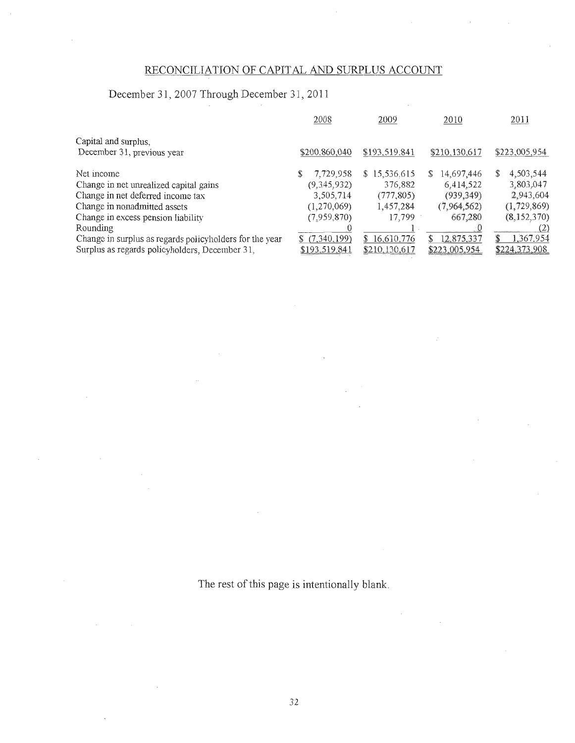## RECONCILIATION OF CAPITAL AND SURPLUS ACCOUNT

## December 31,2007 Through December 31,2011

|                                                         | 2008          | 2009             |   | 2010          |    | 2011          |
|---------------------------------------------------------|---------------|------------------|---|---------------|----|---------------|
| Capital and surplus,                                    |               |                  |   |               |    |               |
| December 31, previous year                              | \$200,860,040 | \$193,519,841    |   | \$210,130,617 |    | \$223,005,954 |
| Net income                                              | 7,729,958     | \$15,536.615     | S | 14,697,446    | S. | 4,503,544     |
| Change in net unrealized capital gains                  | (9, 345, 932) | 376,882          |   | 6,414,522     |    | 3,803,047     |
| Change in net deferred income tax                       | 3,505,714     | (777, 805)       |   | (939, 349)    |    | 2,943,604     |
| Change in nonadmitted assets                            | (1,270,069)   | 1,457,284        |   | (7, 964, 562) |    | (1, 729, 869) |
| Change in excess pension liability                      | (7,959,870)   | 17,799           |   | 667,280       |    | (8, 152, 370) |
| Rounding                                                |               |                  |   |               |    | (2)           |
| Change in surplus as regards policyholders for the year | \$(7,340,199) | 16.610.776<br>S. | S | 12.875,337    | S. | 1,367.954     |
| Surplus as regards policyholders, December 31,          | \$193.519.84  | \$210,130,617    |   | \$223,005.954 |    | \$224,373,908 |

The rest of this page is intentionally blank.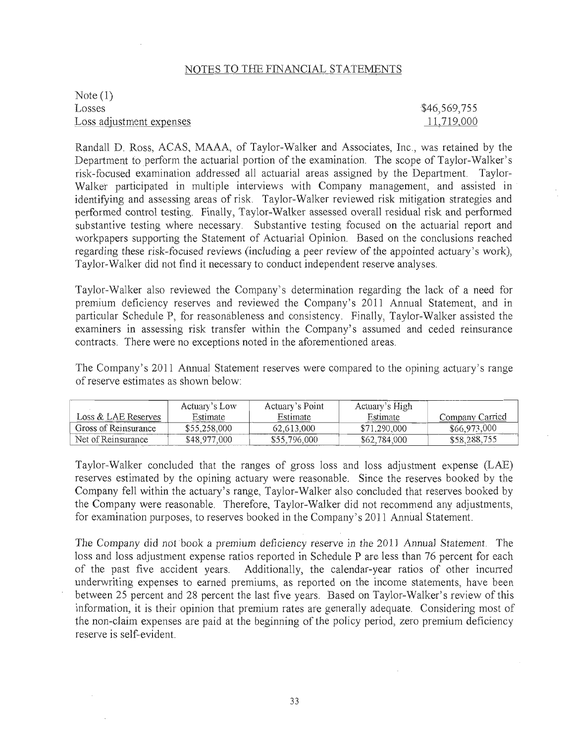## NOTES TO THE FINANCIAL STATEMENTS

Note (1) Losses Loss adjustment expenses

\$46,569,755 11,719,000

Randall D. Ross, ACAS, MAAA, of Taylor-Walker and Associates, Inc., was retained by the Department to perform the actuarial portion of the examination. The scope of Taylor-Walker's risk-focused examination addressed all actuarial areas assigned by the Department. Taylor-Walker participated in multiple interviews with Company management, and assisted in identifying and assessing areas of risk. Taylor-Walker reviewed risk mitigation strategies and performed control testing. Finally, Taylor-Walker assessed overall residual risk and performed substantive testing where necessary. Substantive testing focused on the actuarial report and workpapers supporting the Statement of Actuarial Opinion. Based on the conclusions reached regarding these risk-focused reviews (including a peer review of the appointed actuary's work), Taylor-Walker did not find it necessary to conduct independent reserve analyses.

Taylor-Walker also reviewed the Company's determination regarding the lack of a need for premium deficiency reserves and reviewed the Company's 2011 Annual Statement, and in particular Schedule P, for reasonableness and consistency. Finally, Taylor-Walker assisted the examiners in assessing risk transfer within the Company's assumed and ceded reinsurance contracts. There were no exceptions noted in the aforementioned areas.

The Company's 2011 Annual Statement reserves were compared to the opining actuary's range of reserve estimates as shown below:

|                      | Actuary's Low | Actuary's Point | Actuary's High |                 |
|----------------------|---------------|-----------------|----------------|-----------------|
| Loss & LAE Reserves  | Estimate      | Estimate        | Estimate       | Company Carried |
| Gross of Reinsurance | \$55,258,000  | 62.613.000      | \$71,290,000   | \$66,973,000    |
| Net of Reinsurance   | \$48,977,000  | \$55,796,000    | \$62,784,000   | \$58,288,755    |

Taylor-Walker concluded that the ranges of gross loss and loss adjustment expense (LAE) reserves estimated by the opining actuary were reasonable. Since the reserves booked by the Company fell within the actuary's range, Taylor-Walker also concluded that reserves booked by the Company were reasonable. Therefore, Taylor-Walker did not recommend any adjustments, for examination purposes, to reserves booked in the Company's 2011 Annual Statement.

The Company did *not* book a premium deficiency reserve in the 201] Annual Statement. The loss and loss adjustment expense ratios reported in Schedule P are less than 76 percent for each of the past five accident years. Additionally, the calendar-year ratios of other incurred underwriting expenses to earned premiums, as reported on the income statements, have been between 25 percent and 28 percent the last five years. Based on Taylor-Walker's review of this information, it is their opinion that premium rates ate generally adequate. Considering most of the non-claim expenses are paid at the beginning of the policy period, zero premium deficiency reserve is self-evident.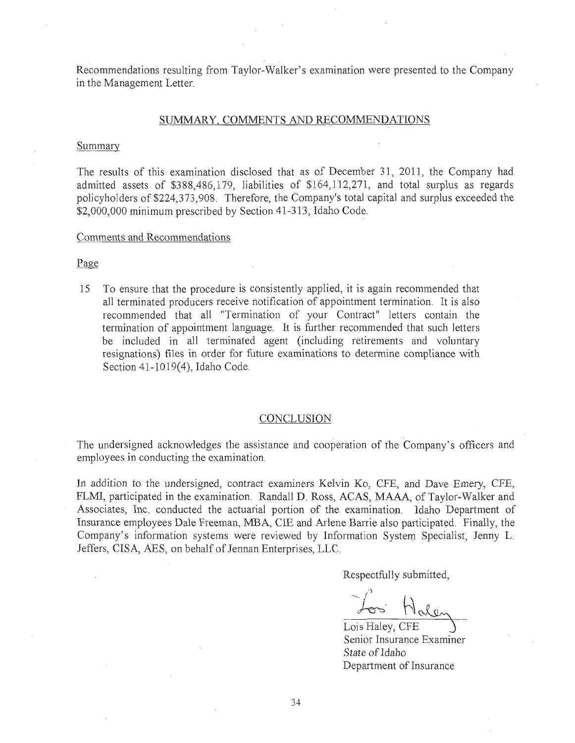Recommendations resulting from Taylor-Walker's examination were presented to the Company in the Management Letter.

#### SUMMARY, COMMENTS AND RECOMMENDATIONS

#### Summary

The results of this examination disclosed that as of December 31, 2011, the Company had admitted assets of \$388,486,179, liabilities of \$164,112,271, and total surplus as regards policyholders of \$224,373,908. Therefore, the Company's total capital and surplus exceeded the \$2,000,000 minimum prescribed by Section 41-313, Idaho Code.

#### Comments and Recommendations

Page

15 To ensure that the procedure is consistently applied, it is again recommended that all terminated producers receive notification of appointment termination. It is also recommended that all "Termination of your Contract" letters contain the termination of appointment language. It is further recommended that such letters be included in all terminated agent (including retirements and voluntary resignations) files in order for future examinations to determine compliance with Section 41-1019(4), Idaho Code.

#### CONCLUSION

The undersigned acknowledges the assistance and cooperation of the Company's officers and employees in conducting the examination.

In addition to the undersigned, contract examiners Kelvin Ko, CFE, and Dave Emery, CFE, FLMI, participated in the examination. Randall D. Ross, ACAS, MAAA, of Taylor-Walker and Associates, Inc. conducted the actuarial portion of the examination. Idaho Department of Insurance employees Dale Freeman, MBA, CIE and Arlene Barrie also participated. Finally, the Company's information systems were reviewed by Information System Specialist, Jenny L. Jeffers, CISA, AES, on behalf of Jennan Enterprises, LLG.

Respectfully submitted,

Lois Haley, CFE Senior Insurance Examiner State of Idaho Department of Insurance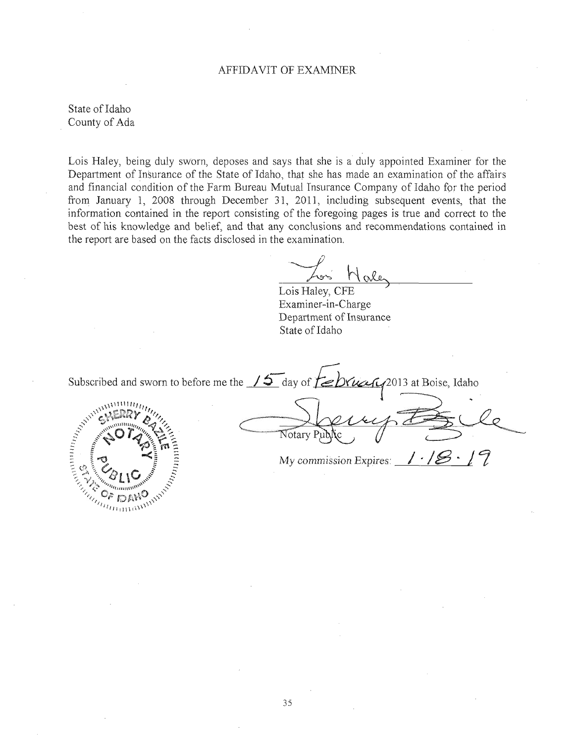#### AFFIDAVIT OF EXAMlNER

State of Idaho County of Ada

Lois Haley, being duly sworn, deposes and says that she is a duly appointed Examiner for the Department of Insurance of the State of Idaho, that she has made an examination of the affairs and financial condition of the Farm Bureau Mutual Insurance Company of Idaho for the period from January 1, 2008 through December 31, 2011, including subsequent events, that the information contained in the report consisting of the foregoing pages is true and correct to the best of his knowledge and belief, and that any conclusions and recommendations contained in the report are based on the facts disclosed in the examination,

Lois Haley, CFE

Examiner-in -Charge Department of Insurance State of Idaho

Subscribed and sworn to before me the  $\sqrt{5}$  day of  $\sqrt{5}$ 

Subscribed and

Notary Pub

2013 at Boise, Idaho

My commission Expires:  $\frac{1.18.17}{1.5}$ 

35